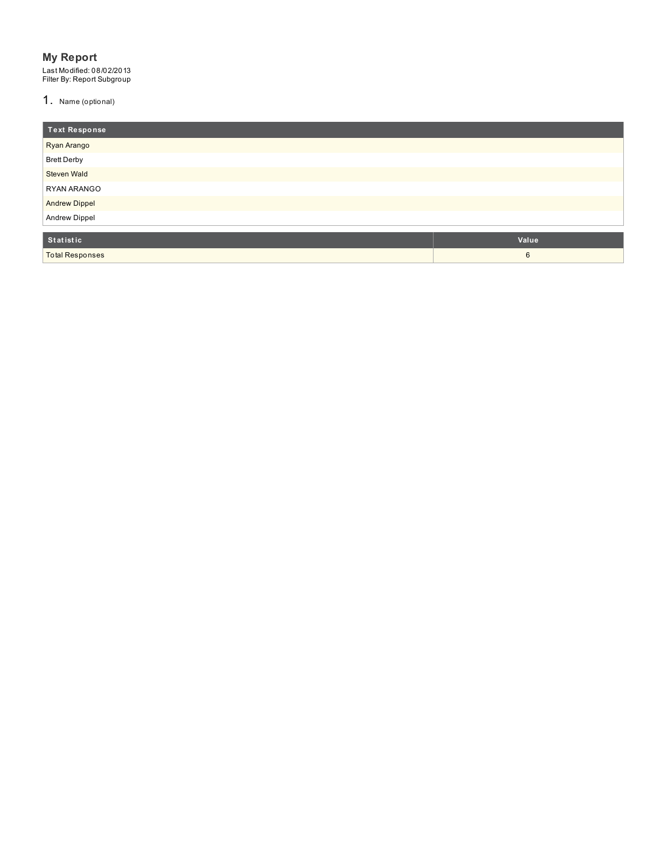### **My Report**

Last Modified: 08/02/2013<br>Filter By: Report Subgroup

1. Name (optional)

Total Respons e s

| Text Response        |       |
|----------------------|-------|
| Ryan Arango          |       |
| <b>Brett Derby</b>   |       |
| <b>Steven Wald</b>   |       |
| RYAN ARANGO          |       |
| <b>Andrew Dippel</b> |       |
| <b>Andrew Dippel</b> |       |
| Statistic            | Value |

6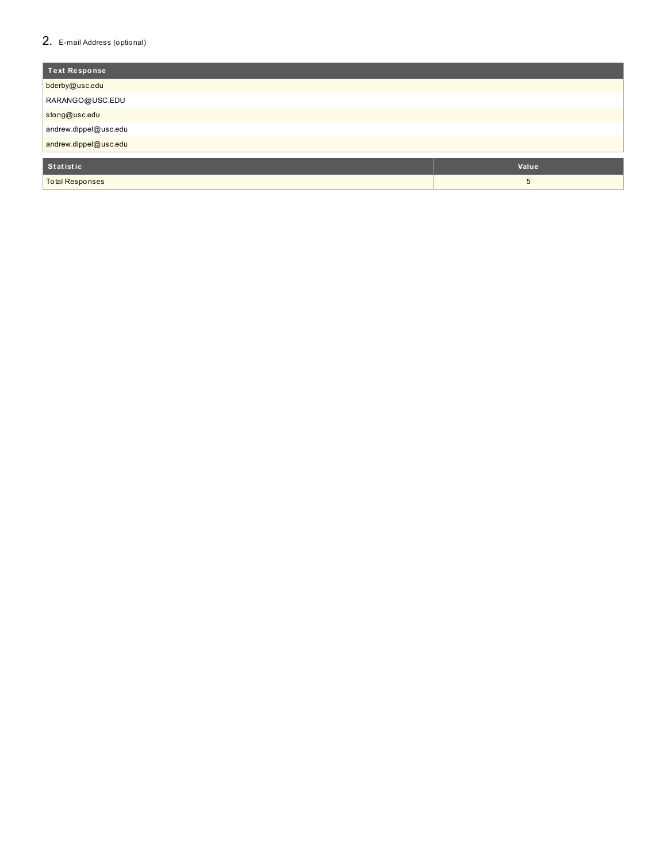### 2. E-mail Address (optional)

| <b>Text Response</b>   |       |
|------------------------|-------|
| bderby@usc.edu         |       |
| RARANGO@USC.EDU        |       |
| stong@usc.edu          |       |
| andrew.dippel@usc.edu  |       |
| andrew.dippel@usc.edu  |       |
|                        |       |
| Statistic              | Value |
| <b>Total Responses</b> | 5     |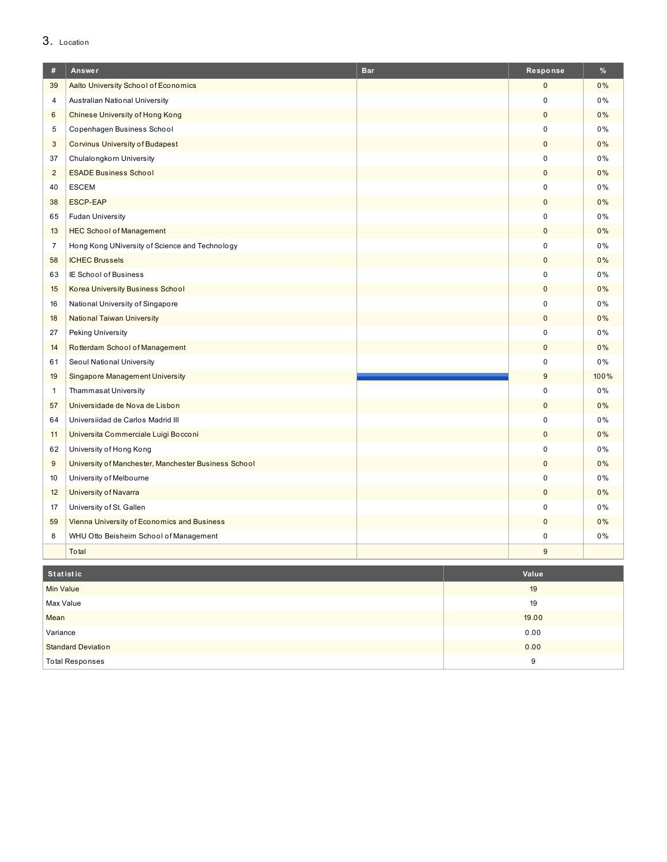# 3. Location

| #                       | Answer                                               | <b>Bar</b> | Response     | %    |
|-------------------------|------------------------------------------------------|------------|--------------|------|
| 39                      | Aalto University School of Economics                 |            | $\mathbf{0}$ | 0%   |
| $\overline{\mathbf{4}}$ | Australian National University                       |            | $\mathbf 0$  | 0%   |
| 6                       | <b>Chinese University of Hong Kong</b>               |            | $\pmb{0}$    | 0%   |
| 5                       | Copenhagen Business School                           |            | $\mathbf 0$  | 0%   |
| $\sqrt{3}$              | <b>Corvinus University of Budapest</b>               |            | $\pmb{0}$    | 0%   |
| 37                      | Chulalongkorn University                             |            | 0            | 0%   |
| $\overline{2}$          | <b>ESADE Business School</b>                         |            | $\pmb{0}$    | 0%   |
| 40                      | <b>ESCEM</b>                                         |            | $\pmb{0}$    | 0%   |
| 38                      | ESCP-EAP                                             |            | $\pmb{0}$    | 0%   |
| 65                      | <b>Fudan University</b>                              |            | 0            | 0%   |
| 13                      | <b>HEC School of Management</b>                      |            | $\pmb{0}$    | 0%   |
| $\overline{7}$          | Hong Kong UNiversity of Science and Technology       |            | 0            | 0%   |
| 58                      | <b>ICHEC Brussels</b>                                |            | $\pmb{0}$    | 0%   |
| 63                      | IE School of Business                                |            | 0            | 0%   |
| 15                      | <b>Korea University Business School</b>              |            | $\mathbf{0}$ | 0%   |
| 16                      | National University of Singapore                     |            | $\pmb{0}$    | 0%   |
| 18                      | <b>National Taiwan University</b>                    |            | $\pmb{0}$    | 0%   |
| 27                      | Peking University                                    |            | 0            | 0%   |
| 14                      | Rotterdam School of Management                       |            | $\pmb{0}$    | 0%   |
| 61                      | Seoul National University                            |            | $\mathbf 0$  | 0%   |
| 19                      | <b>Singapore Management University</b>               |            | 9            | 100% |
| $\mathbf{1}$            | <b>Thammasat University</b>                          |            | 0            | 0%   |
| 57                      | Universidade de Nova de Lisbon                       |            | $\mathbf 0$  | 0%   |
| 64                      | Universiidad de Carlos Madrid III                    |            | 0            | 0%   |
| 11                      | Universita Commerciale Luigi Bocconi                 |            | 0            | 0%   |
| 62                      | University of Hong Kong                              |            | 0            | 0%   |
| $9\,$                   | University of Manchester, Manchester Business School |            | $\pmb{0}$    | 0%   |
| 10                      | University of Melbourne                              |            | 0            | 0%   |
| 12                      | <b>University of Navarra</b>                         |            | $\pmb{0}$    | 0%   |
| 17                      | University of St. Gallen                             |            | 0            | 0%   |
| 59                      | Vienna University of Economics and Business          |            | 0            | 0%   |
| 8                       | WHU Otto Beisheim School of Management               |            | 0            | 0%   |
|                         | Total                                                |            | 9            |      |

| Statistic                 | Value |
|---------------------------|-------|
| Min Value                 | 19    |
| Max Value                 | 19    |
| Mean                      | 19.00 |
| Variance                  | 0.00  |
| <b>Standard Deviation</b> | 0.00  |
| <b>Total Responses</b>    | 9     |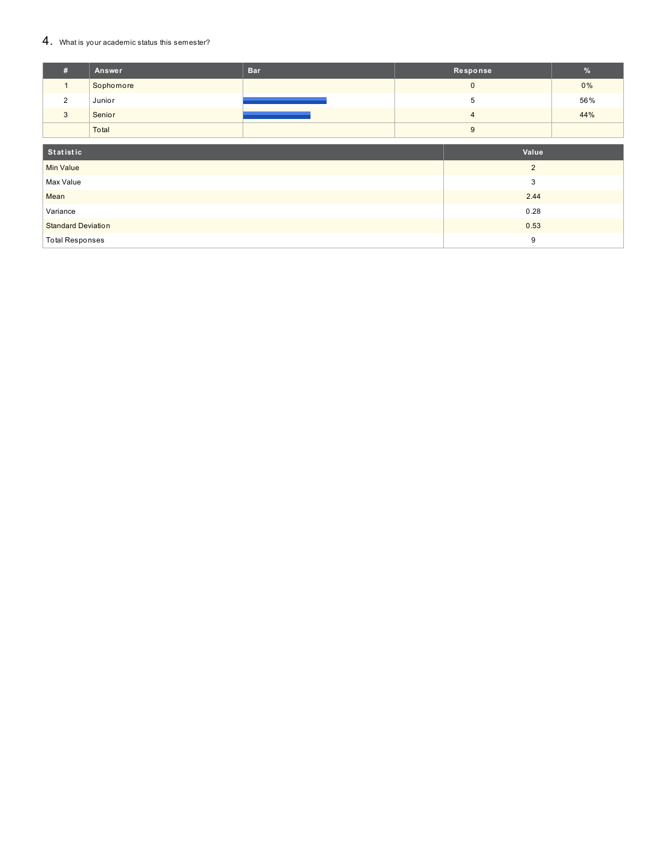### 4. What is your academic status this semester?

| #                         | Answer    | <b>Bar</b> |                | Response       | %   |
|---------------------------|-----------|------------|----------------|----------------|-----|
| $\mathbf{1}$              | Sophomore |            |                | $\mathbf{0}$   | 0%  |
| 2                         | Junior    |            |                | 5              | 56% |
| $\mathbf{3}$              | Senior    |            | $\overline{4}$ |                | 44% |
|                           | Total     |            |                | 9              |     |
| Statistic<br>Value        |           |            |                |                |     |
| <b>Min Value</b>          |           |            |                | $\overline{2}$ |     |
| Max Value                 |           |            |                | 3              |     |
| Mean                      |           |            | 2.44           |                |     |
| Variance                  |           |            | 0.28           |                |     |
| <b>Standard Deviation</b> |           |            |                | 0.53           |     |
| <b>Total Responses</b>    |           |            |                | 9              |     |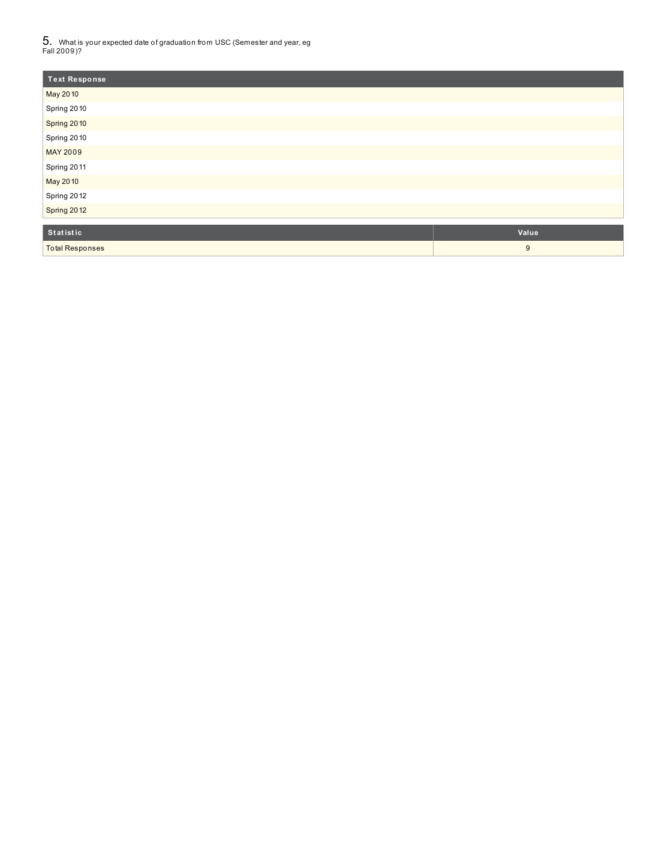$5_\cdot$  What is your expected date of graduation from USC (Semester and year, eg<br>Fall 2009)?

| Text Response   |       |
|-----------------|-------|
| May 2010        |       |
| Spring 2010     |       |
| Spring 2010     |       |
| Spring 2010     |       |
| <b>MAY 2009</b> |       |
| Spring 2011     |       |
| May 2010        |       |
| Spring 2012     |       |
| Spring 2012     |       |
|                 |       |
| Statistic       | Value |

| Statistic              | <b>Value</b> |
|------------------------|--------------|
| <b>Total Responses</b> |              |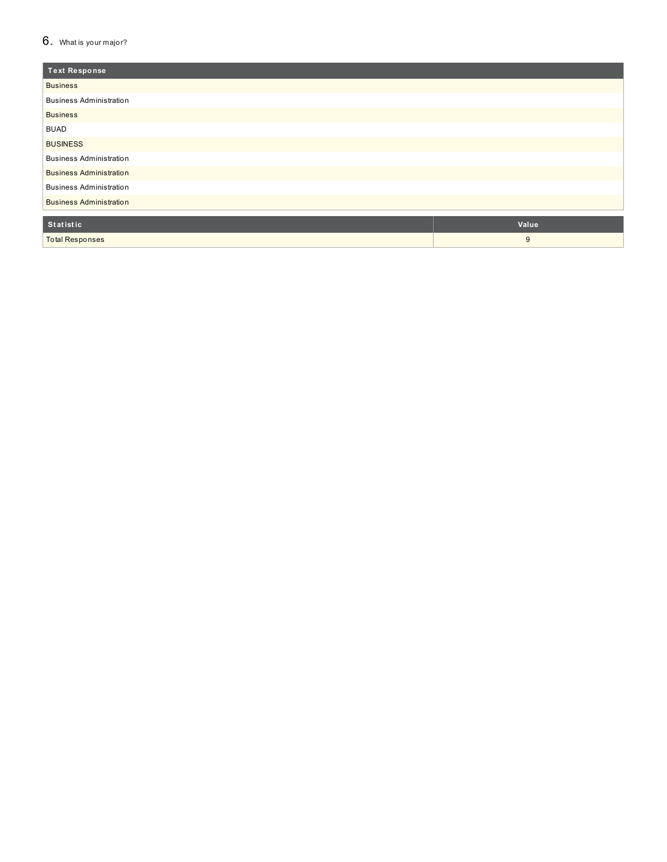### $6.$  What is your major?

| <b>Text Response</b>           |       |
|--------------------------------|-------|
| <b>Business</b>                |       |
| <b>Business Administration</b> |       |
| <b>Business</b>                |       |
| <b>BUAD</b>                    |       |
| <b>BUSINESS</b>                |       |
| <b>Business Administration</b> |       |
| <b>Business Administration</b> |       |
| <b>Business Administration</b> |       |
| <b>Business Administration</b> |       |
| Statistic                      | Value |
| <b>Total Responses</b>         | 9     |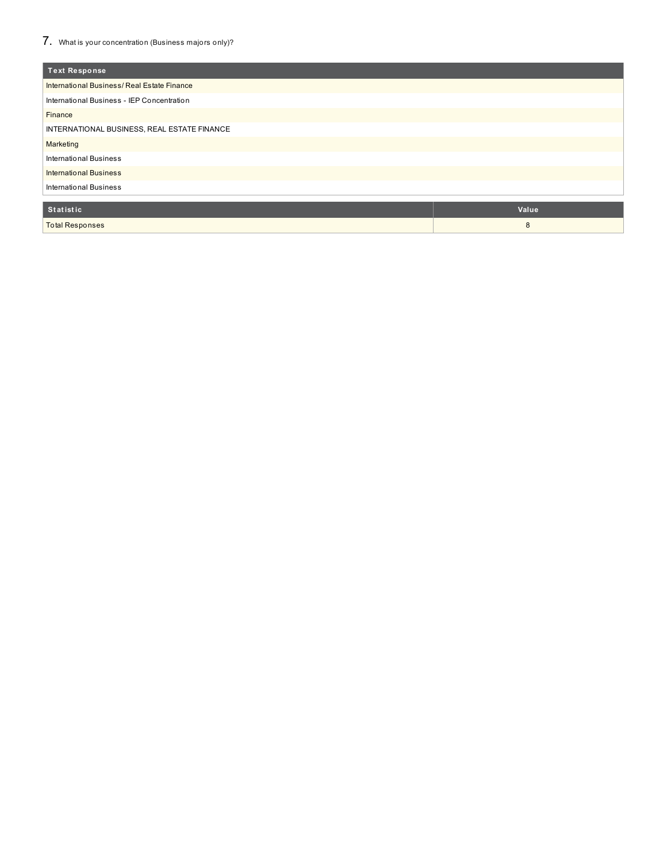| <b>Text Response</b>                        |       |  |  |  |
|---------------------------------------------|-------|--|--|--|
| International Business/Real Estate Finance  |       |  |  |  |
| International Business - IEP Concentration  |       |  |  |  |
| <b>Finance</b>                              |       |  |  |  |
| INTERNATIONAL BUSINESS, REAL ESTATE FINANCE |       |  |  |  |
| Marketing                                   |       |  |  |  |
| <b>International Business</b>               |       |  |  |  |
| <b>International Business</b>               |       |  |  |  |
| <b>International Business</b>               |       |  |  |  |
|                                             |       |  |  |  |
| <b>Statistic</b>                            | Value |  |  |  |
| <b>Total Responses</b>                      | 8     |  |  |  |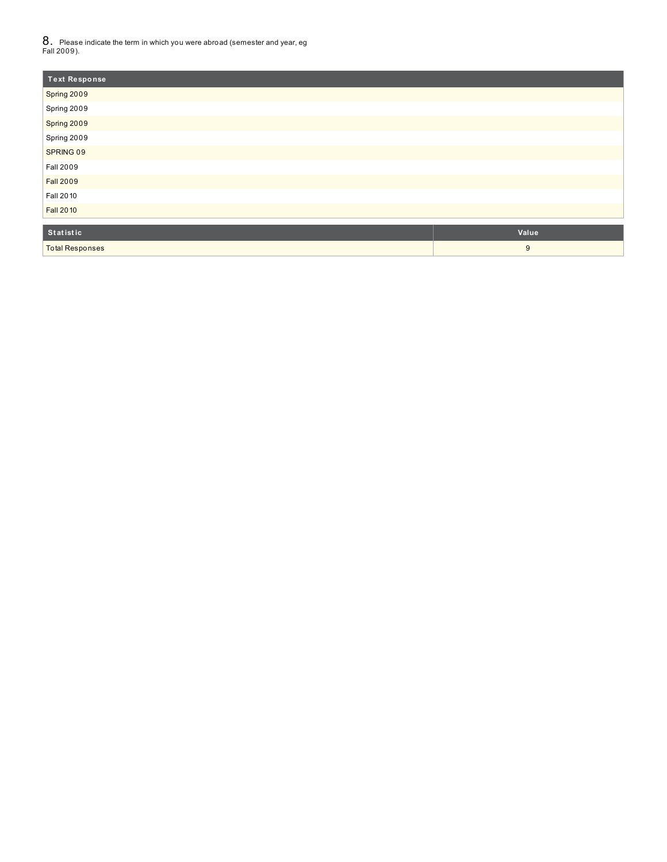$8_\cdot\,$  Please indicate the term in which you were abroad (semester and year, eg<br>Fall 2009).

| <b>Text Response</b>      |            |
|---------------------------|------------|
| Spring 2009               |            |
| Spring 2009               |            |
| Spring 2009               |            |
| Spring 2009               |            |
| SPRING 09                 |            |
| <b>Fall 2009</b>          |            |
| <b>Fall 2009</b>          |            |
| Fall 2010                 |            |
| <b>Fall 2010</b>          |            |
| Calculation of the Second | $M = 1.12$ |

| Statistic              | Value |
|------------------------|-------|
| <b>Total Responses</b> |       |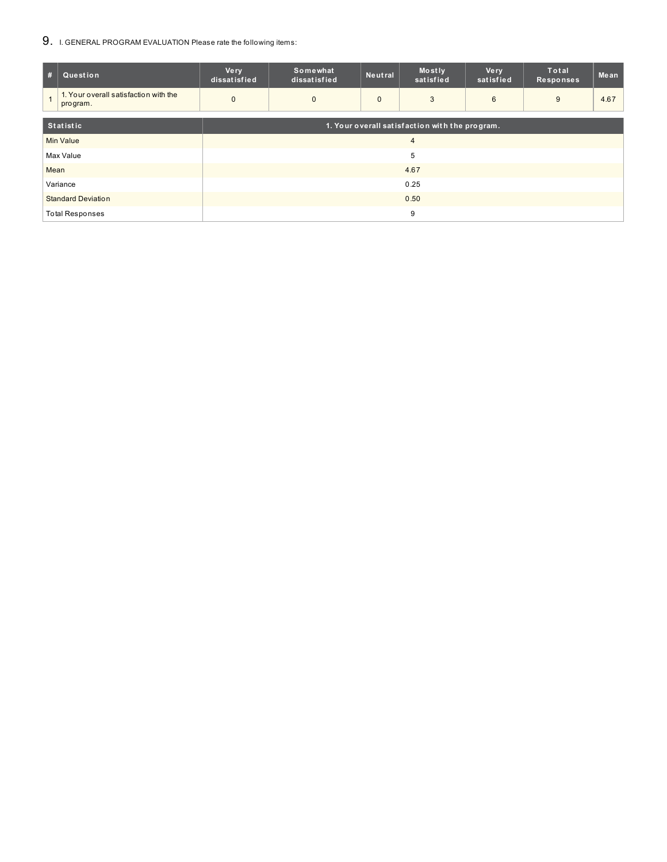## 9. I. GENERAL PROGRAM EVALUATION Please rate the following items:

| #                      | Question                                                           | <b>Very</b><br>dissatisfied | Somewhat<br>dissatisfied | Neutral      | Mostly<br>satisfied | <b>Very</b><br>satisfied | <b>Total</b><br><b>Responses</b> | Mean |
|------------------------|--------------------------------------------------------------------|-----------------------------|--------------------------|--------------|---------------------|--------------------------|----------------------------------|------|
|                        | 1. Your overall satisfaction with the<br>program.                  | $\mathbf 0$                 | $\mathbf{0}$             | $\mathbf{0}$ | 3                   | 6                        | 9                                | 4.67 |
|                        | <b>Statistic</b><br>1. Your overall satisfaction with the program. |                             |                          |              |                     |                          |                                  |      |
|                        | <b>Min Value</b>                                                   | $\overline{4}$              |                          |              |                     |                          |                                  |      |
|                        | Max Value                                                          | 5                           |                          |              |                     |                          |                                  |      |
| Mean                   |                                                                    | 4.67                        |                          |              |                     |                          |                                  |      |
|                        | Variance                                                           | 0.25                        |                          |              |                     |                          |                                  |      |
|                        | <b>Standard Deviation</b>                                          | 0.50                        |                          |              |                     |                          |                                  |      |
| <b>Total Responses</b> |                                                                    |                             |                          |              | 9                   |                          |                                  |      |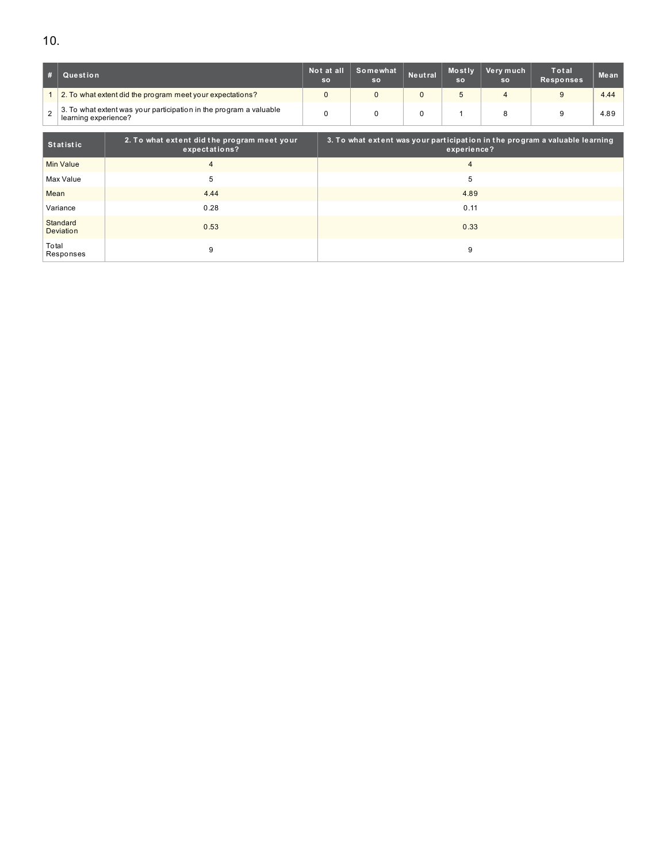|                | $\Box$ Question                                                                            | Not at all<br><b>SO</b> | Somewhat<br><sub>So</sub> | Neutral | <b>Mostly</b><br><b>SO</b> | Very much<br><b>SO</b> | Total<br><b>Responses</b> | Mean |
|----------------|--------------------------------------------------------------------------------------------|-------------------------|---------------------------|---------|----------------------------|------------------------|---------------------------|------|
|                | 2. To what extent did the program meet your expectations?                                  |                         |                           |         |                            |                        |                           | 4.44 |
| $\overline{2}$ | 3. To what extent was your participation in the program a valuable<br>learning experience? |                         |                           |         |                            |                        |                           | 4.89 |

| Statistic             | 2. To what extent did the program meet your<br>expectations? | 3. To what extent was your participation in the program a valuable learning<br>experience? |
|-----------------------|--------------------------------------------------------------|--------------------------------------------------------------------------------------------|
| Min Value             | 4                                                            |                                                                                            |
| Max Value             | 5                                                            | 5                                                                                          |
| Mean                  | 4.44                                                         | 4.89                                                                                       |
| Variance              | 0.28                                                         | 0.11                                                                                       |
| Standard<br>Deviation | 0.53                                                         | 0.33                                                                                       |
| Total<br>Responses    | 9                                                            | 9                                                                                          |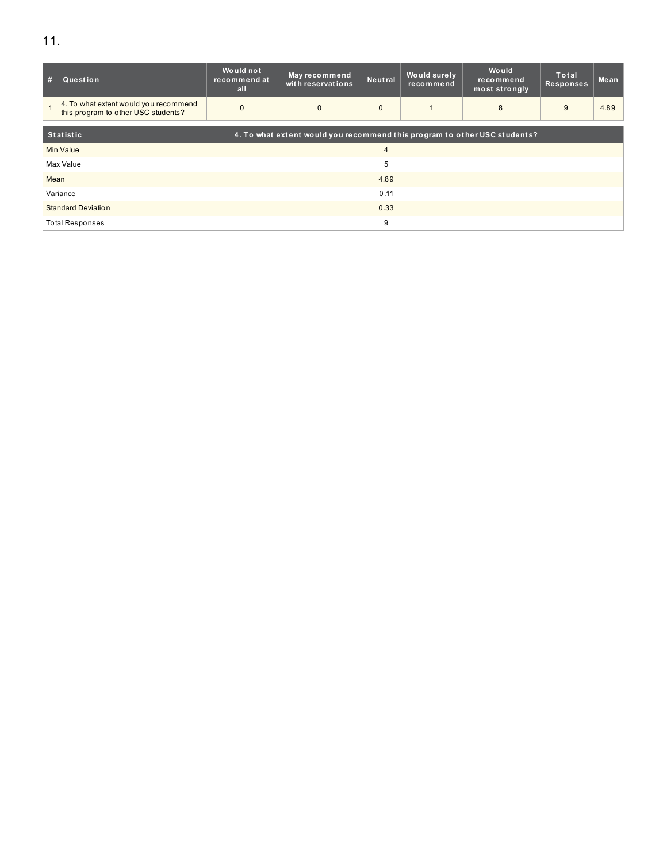| #                         | Question               |                                                                              | Would not<br>recommend at<br>all | May recommend<br>with reservations | Neutral        | Would surely<br>recommend | Would<br>recommend<br>most strongly | <b>Total</b><br><b>Responses</b> | Mean |  |  |  |
|---------------------------|------------------------|------------------------------------------------------------------------------|----------------------------------|------------------------------------|----------------|---------------------------|-------------------------------------|----------------------------------|------|--|--|--|
|                           |                        | 4. To what extent would you recommend<br>this program to other USC students? |                                  | $\mathbf{0}$                       | $\mathbf{0}$   |                           | 8                                   | 9                                | 4.89 |  |  |  |
|                           |                        |                                                                              |                                  |                                    |                |                           |                                     |                                  |      |  |  |  |
|                           | <b>Statistic</b>       | 4. To what extent would you recommend this program to other USC students?    |                                  |                                    |                |                           |                                     |                                  |      |  |  |  |
|                           | Min Value              |                                                                              |                                  |                                    | $\overline{4}$ |                           |                                     |                                  |      |  |  |  |
|                           | Max Value              |                                                                              |                                  |                                    |                |                           |                                     |                                  |      |  |  |  |
| Mean                      |                        |                                                                              |                                  |                                    |                |                           |                                     |                                  |      |  |  |  |
| Variance                  |                        | 0.11                                                                         |                                  |                                    |                |                           |                                     |                                  |      |  |  |  |
| <b>Standard Deviation</b> |                        | 0.33                                                                         |                                  |                                    |                |                           |                                     |                                  |      |  |  |  |
|                           | <b>Total Responses</b> |                                                                              |                                  |                                    | 9              |                           |                                     |                                  |      |  |  |  |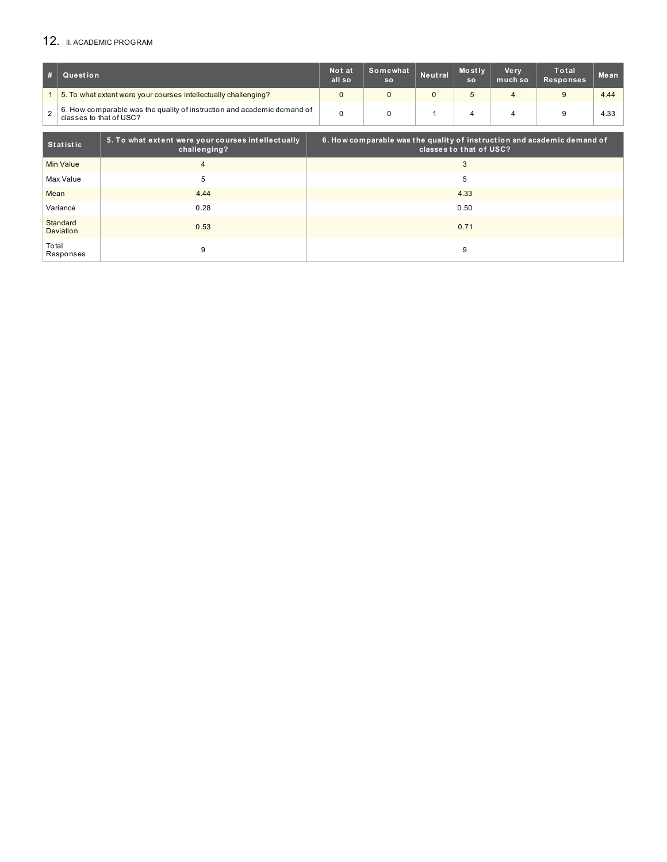# 12. II. ACADEMIC PROGRAM

| # | Question                                                                                           | Not at<br>all so | Somewhat<br><b>SO</b> | Neutral | <b>Mostly</b><br><b>SO</b> | Ve rv<br>much so | <b>Total</b><br>Responses | Mean |
|---|----------------------------------------------------------------------------------------------------|------------------|-----------------------|---------|----------------------------|------------------|---------------------------|------|
|   | 5. To what extent were your courses intellectually challenging?                                    |                  |                       |         | $5\overline{a}$            |                  |                           | 4.44 |
|   | 6. How comparable was the quality of instruction and academic demand of<br>classes to that of USC? |                  |                       |         |                            |                  |                           | 4.33 |

| Statistic             | 5. To what extent were your courses intellectually<br>challenging? | 6. How comparable was the quality of instruction and academic demand of<br>classes to that of USC? |
|-----------------------|--------------------------------------------------------------------|----------------------------------------------------------------------------------------------------|
| Min Value             | $\overline{4}$                                                     | 3                                                                                                  |
| Max Value             | 5                                                                  | 5                                                                                                  |
| Mean                  | 4.44                                                               | 4.33                                                                                               |
| Variance              | 0.28                                                               | 0.50                                                                                               |
| Standard<br>Deviation | 0.53                                                               | 0.71                                                                                               |
| Total<br>Responses    | 9                                                                  | 9                                                                                                  |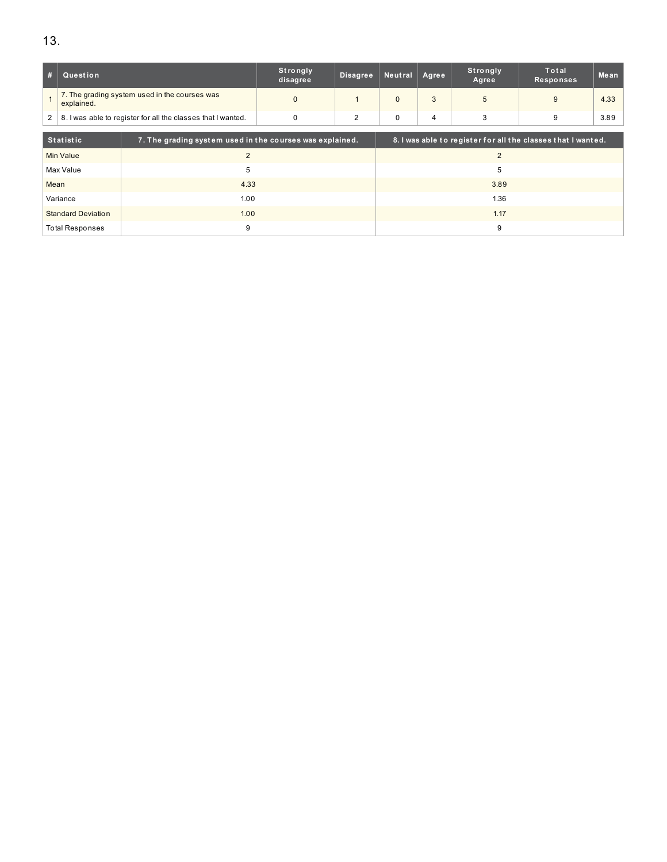| #                                                                 | Question                                                    |                                                          | Strongly<br>disagree | <b>Disagree</b> | Neutral      | Agree | <b>Strongly</b><br>Agree | Total<br><b>Responses</b>                                    | Mean |
|-------------------------------------------------------------------|-------------------------------------------------------------|----------------------------------------------------------|----------------------|-----------------|--------------|-------|--------------------------|--------------------------------------------------------------|------|
|                                                                   | 7. The grading system used in the courses was<br>explained. |                                                          | $\Omega$             |                 | $\Omega$     | 3     | 5                        | 9                                                            | 4.33 |
| 2<br>8. I was able to register for all the classes that I wanted. |                                                             | $\mathbf 0$                                              | $\overline{2}$       | 0               | 4            | 3     | 9                        | 3.89                                                         |      |
|                                                                   | <b>Statistic</b>                                            | 7. The grading system used in the courses was explained. |                      |                 |              |       |                          | 8. I was able to register for all the classes that I wanted. |      |
|                                                                   | <b>Min Value</b>                                            | $\overline{2}$                                           |                      | $\overline{2}$  |              |       |                          |                                                              |      |
|                                                                   | Max Value                                                   | 5                                                        | 5                    |                 |              |       |                          |                                                              |      |
| Mean                                                              |                                                             | 4.33                                                     |                      |                 | 3.89<br>1.36 |       |                          |                                                              |      |
|                                                                   | Variance                                                    | 1.00                                                     |                      |                 |              |       |                          |                                                              |      |
| 1.00<br><b>Standard Deviation</b>                                 |                                                             |                                                          |                      |                 | 1.17         |       |                          |                                                              |      |
|                                                                   |                                                             |                                                          |                      |                 |              | 9     |                          |                                                              |      |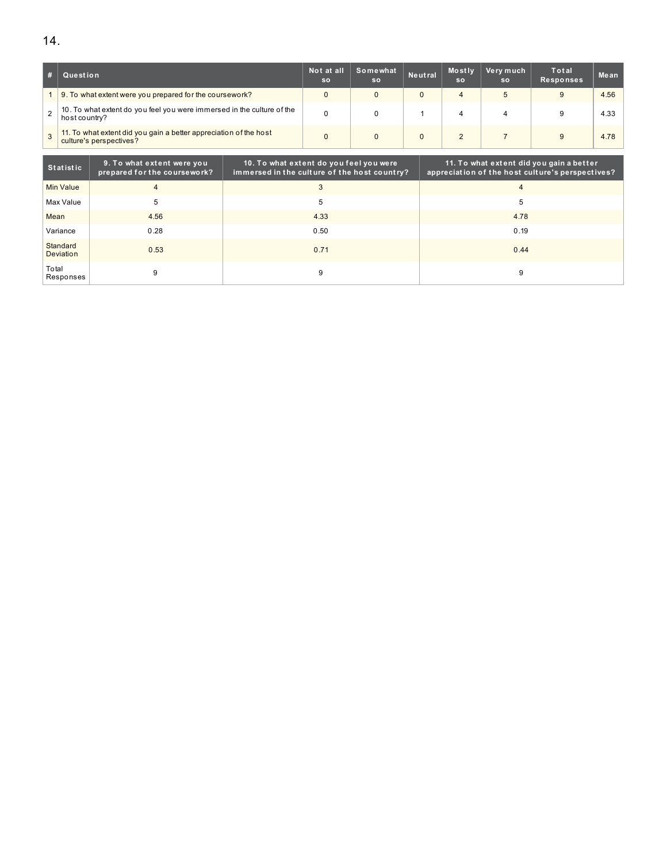|                | Question                                                                                     | Not at all<br><b>SO</b> | Somewhat<br><b>SO</b> | Neutral | Mostly<br><b>SO</b> | Very much<br><b>SO</b> | Total<br><b>Responses</b> | Mean |
|----------------|----------------------------------------------------------------------------------------------|-------------------------|-----------------------|---------|---------------------|------------------------|---------------------------|------|
|                | 9. To what extent were you prepared for the coursework?                                      |                         |                       |         |                     | $\mathbf b$            |                           | 4.56 |
| C.             | 10. To what extent do you feel you were immersed in the culture of the<br>host country?      | 0                       |                       |         |                     |                        |                           | 4.33 |
| $\overline{3}$ | 11. To what extent did you gain a better appreciation of the host<br>culture's perspectives? |                         |                       |         |                     |                        |                           | 4.78 |

| <b>Statistic</b>      | 9. To what extent were you<br>prepared for the coursework? | 10. To what extent do you feel you were<br>immersed in the culture of the host country? | 11. To what extent did you gain a better<br>appreciation of the host culture's perspectives? |
|-----------------------|------------------------------------------------------------|-----------------------------------------------------------------------------------------|----------------------------------------------------------------------------------------------|
| Min Value             | 4                                                          | 3                                                                                       |                                                                                              |
| Max Value             | 5                                                          | 5                                                                                       | 5                                                                                            |
| Mean                  | 4.56                                                       | 4.33                                                                                    | 4.78                                                                                         |
| Variance              | 0.28                                                       | 0.50                                                                                    | 0.19                                                                                         |
| Standard<br>Deviation | 0.53                                                       | 0.71                                                                                    | 0.44                                                                                         |
| Total<br>Responses    | 9                                                          | 9                                                                                       |                                                                                              |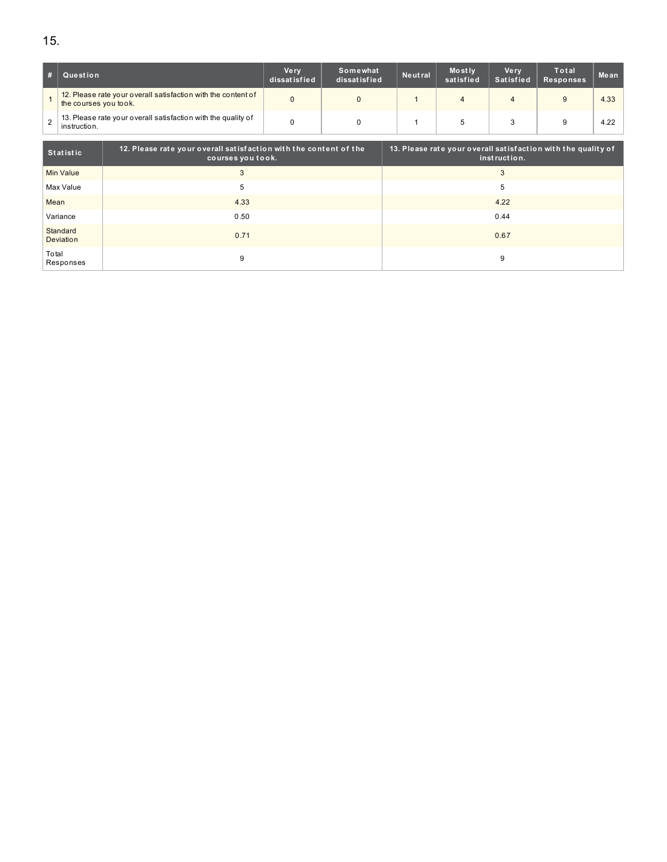|   | Question                                                                               | Ve rv<br>dissatisfied | Somewhat<br>dissatisfied | Neutral | Mostly<br>satisfied | Ve rv<br>Satisfied | Total<br><b>Responses</b> | Mean |
|---|----------------------------------------------------------------------------------------|-----------------------|--------------------------|---------|---------------------|--------------------|---------------------------|------|
|   | 12. Please rate your overall satisfaction with the content of<br>the courses you took. |                       |                          |         |                     |                    | 9                         | 4.33 |
| 2 | 13. Please rate your overall satisfaction with the quality of<br>instruction.          |                       |                          |         |                     |                    | 9                         | 4.22 |

| Statistic             | 12. Please rate your overall satisfaction with the content of the<br>courses you took. | 13. Please rate your overall satisfaction with the quality of<br>instruction. |
|-----------------------|----------------------------------------------------------------------------------------|-------------------------------------------------------------------------------|
| Min Value             | 3                                                                                      | 3                                                                             |
| Max Value             | 5                                                                                      | 5                                                                             |
| Mean                  | 4.33                                                                                   | 4.22                                                                          |
| Variance              | 0.50                                                                                   | 0.44                                                                          |
| Standard<br>Deviation | 0.71                                                                                   | 0.67                                                                          |
| Total<br>Responses    | 9                                                                                      | 9                                                                             |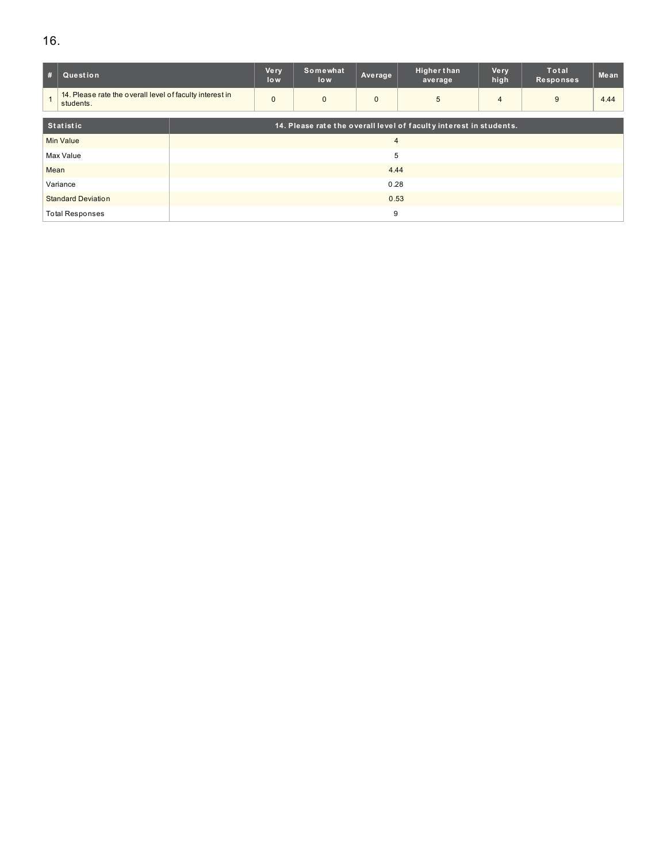# 16.

| #                         | Question                                                              |      | Very<br>low    | Somewhat<br>low | Average      | <b>Higher than</b><br>average                                      | Very<br>high   | <b>Total</b><br>Responses | Mean |  |  |
|---------------------------|-----------------------------------------------------------------------|------|----------------|-----------------|--------------|--------------------------------------------------------------------|----------------|---------------------------|------|--|--|
|                           | 14. Please rate the overall level of faculty interest in<br>students. |      | $\mathbf{0}$   | $\mathbf{0}$    | $\mathbf{0}$ | 5                                                                  | $\overline{4}$ | 9                         | 4.44 |  |  |
| <b>Statistic</b>          |                                                                       |      |                |                 |              | 14. Please rate the overall level of faculty interest in students. |                |                           |      |  |  |
| Min Value                 |                                                                       |      | $\overline{4}$ |                 |              |                                                                    |                |                           |      |  |  |
|                           | Max Value                                                             |      | 5              |                 |              |                                                                    |                |                           |      |  |  |
| Mean                      |                                                                       |      |                |                 |              |                                                                    |                |                           |      |  |  |
| Variance                  |                                                                       |      | 0.28           |                 |              |                                                                    |                |                           |      |  |  |
| <b>Standard Deviation</b> |                                                                       | 0.53 |                |                 |              |                                                                    |                |                           |      |  |  |
|                           | <b>Total Responses</b>                                                |      | 9              |                 |              |                                                                    |                |                           |      |  |  |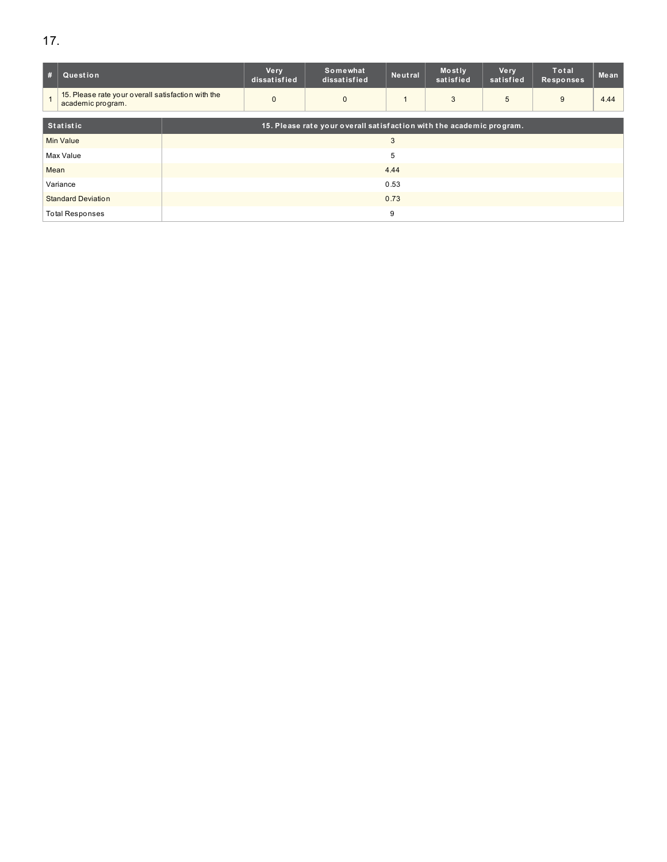| -#                        | Question                                                                |      | <b>Very</b><br>dissatisfied | Somewhat<br>dissatisfied                                             | Neutral | Mostly<br>satisfied | <b>Very</b><br>satisfied | Total<br><b>Responses</b> | Mean |  |  |
|---------------------------|-------------------------------------------------------------------------|------|-----------------------------|----------------------------------------------------------------------|---------|---------------------|--------------------------|---------------------------|------|--|--|
|                           | 15. Please rate your overall satisfaction with the<br>academic program. |      | $\mathbf{0}$                | $\mathbf{0}$                                                         |         | 3                   | 5                        | 9                         | 4.44 |  |  |
| <b>Statistic</b>          |                                                                         |      |                             | 15. Please rate your overall satisfaction with the academic program. |         |                     |                          |                           |      |  |  |
| <b>Min Value</b>          |                                                                         |      | 3                           |                                                                      |         |                     |                          |                           |      |  |  |
|                           | Max Value                                                               |      | 5                           |                                                                      |         |                     |                          |                           |      |  |  |
| Mean                      |                                                                         |      |                             | 4.44                                                                 |         |                     |                          |                           |      |  |  |
| Variance                  |                                                                         | 0.53 |                             |                                                                      |         |                     |                          |                           |      |  |  |
| <b>Standard Deviation</b> |                                                                         | 0.73 |                             |                                                                      |         |                     |                          |                           |      |  |  |
|                           | <b>Total Responses</b>                                                  |      | 9                           |                                                                      |         |                     |                          |                           |      |  |  |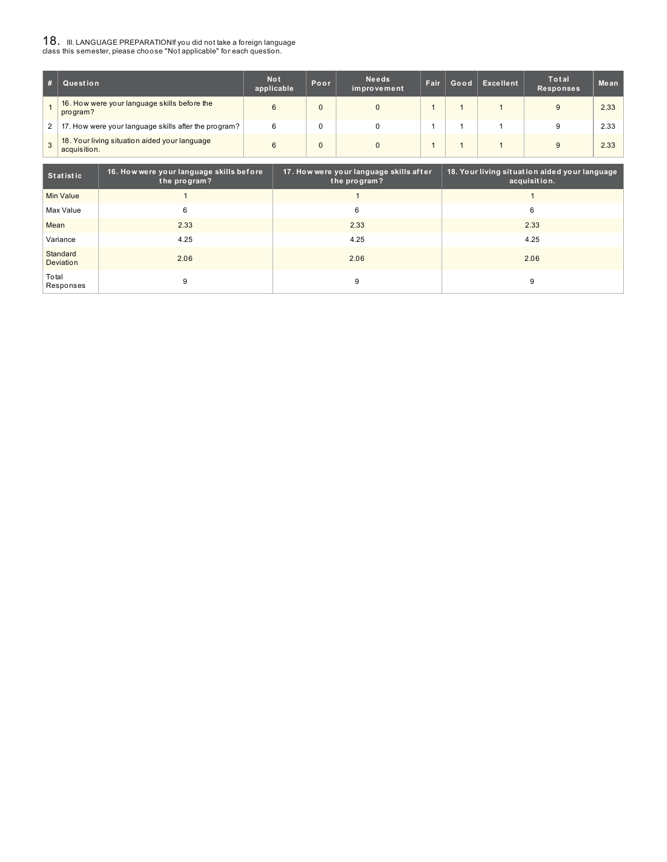# ${\bf 18}$  . III. LANGUAGE PREPARATIONIf you did not take a foreign language<br>class this semester, please choose "Not applicable" for each question.

|   | Question                                                      | <b>Not</b><br>applicable | Poor. | <b>Needs</b><br>improvement | <b>Fair</b> | Good | Excellent | Total<br><b>Responses</b> | Mean |
|---|---------------------------------------------------------------|--------------------------|-------|-----------------------------|-------------|------|-----------|---------------------------|------|
|   | 16. How were your language skills before the<br>program?      |                          |       | $\Omega$                    |             |      |           | 9                         | 2.33 |
| 2 | 17. How were your language skills after the program?          | 6                        |       | 0                           |             |      |           | 9                         | 2.33 |
|   | 18. Your living situation aided your language<br>acquisition. | 6                        |       | 0                           |             |      |           | 9                         | 2.33 |

| Statistic             | 16. How were your language skills before<br>the program? | 17. How were your language skills after<br>the program? | 18. Your living situation aided your language<br>acquisition. |
|-----------------------|----------------------------------------------------------|---------------------------------------------------------|---------------------------------------------------------------|
| Min Value             |                                                          |                                                         |                                                               |
| Max Value             | 6                                                        | 6                                                       | 6                                                             |
| Mean                  | 2.33                                                     | 2.33                                                    | 2.33                                                          |
| Variance              | 4.25                                                     | 4.25                                                    | 4.25                                                          |
| Standard<br>Deviation | 2.06                                                     | 2.06                                                    | 2.06                                                          |
| Total<br>Responses    | 9                                                        | 9                                                       | 9                                                             |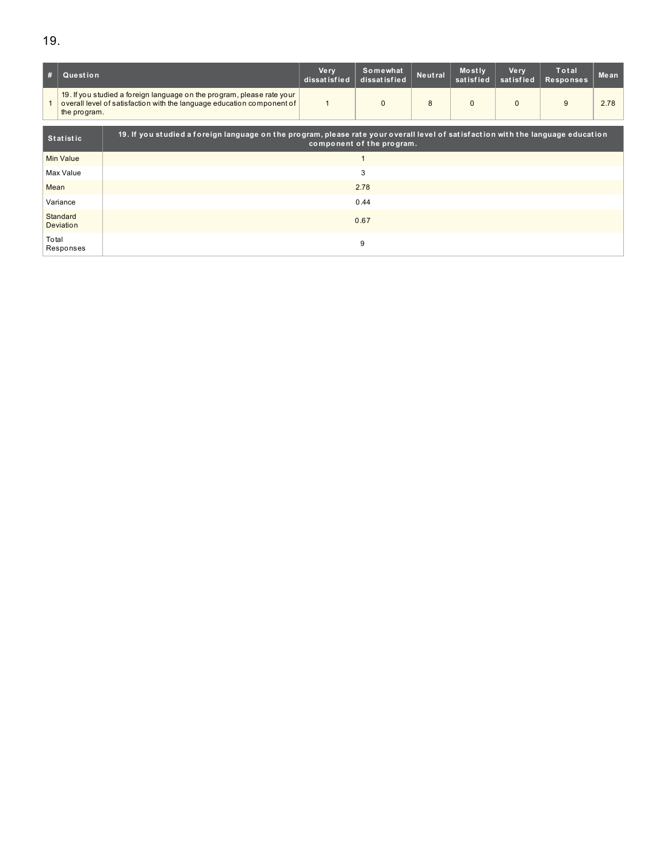| #                  | Question              |                                                                                                                                                  | <b>Very</b><br>dissatisfied                                                                                                                                   | Somewhat<br>dissatisfied | Neutral | Mostly<br>satisfied | <b>Very</b><br>satisfied | Total<br><b>Responses</b> | Mean |  |  |  |
|--------------------|-----------------------|--------------------------------------------------------------------------------------------------------------------------------------------------|---------------------------------------------------------------------------------------------------------------------------------------------------------------|--------------------------|---------|---------------------|--------------------------|---------------------------|------|--|--|--|
|                    | the program.          | 19. If you studied a foreign language on the program, please rate your<br>overall level of satisfaction with the language education component of |                                                                                                                                                               | $\Omega$                 | 8       | $\Omega$            | $\mathbf{0}$             | 9                         | 2.78 |  |  |  |
| <b>Statistic</b>   |                       |                                                                                                                                                  | 19. If you studied a foreign language on the program, please rate your overall level of satisfaction with the language education<br>component of the program. |                          |         |                     |                          |                           |      |  |  |  |
| <b>Min Value</b>   |                       |                                                                                                                                                  |                                                                                                                                                               |                          |         |                     |                          |                           |      |  |  |  |
|                    | Max Value             | 3                                                                                                                                                |                                                                                                                                                               |                          |         |                     |                          |                           |      |  |  |  |
| Mean               |                       | 2.78                                                                                                                                             |                                                                                                                                                               |                          |         |                     |                          |                           |      |  |  |  |
|                    | Variance              | 0.44                                                                                                                                             |                                                                                                                                                               |                          |         |                     |                          |                           |      |  |  |  |
|                    | Standard<br>Deviation |                                                                                                                                                  |                                                                                                                                                               | 0.67                     |         |                     |                          |                           |      |  |  |  |
| Total<br>Responses |                       | 9                                                                                                                                                |                                                                                                                                                               |                          |         |                     |                          |                           |      |  |  |  |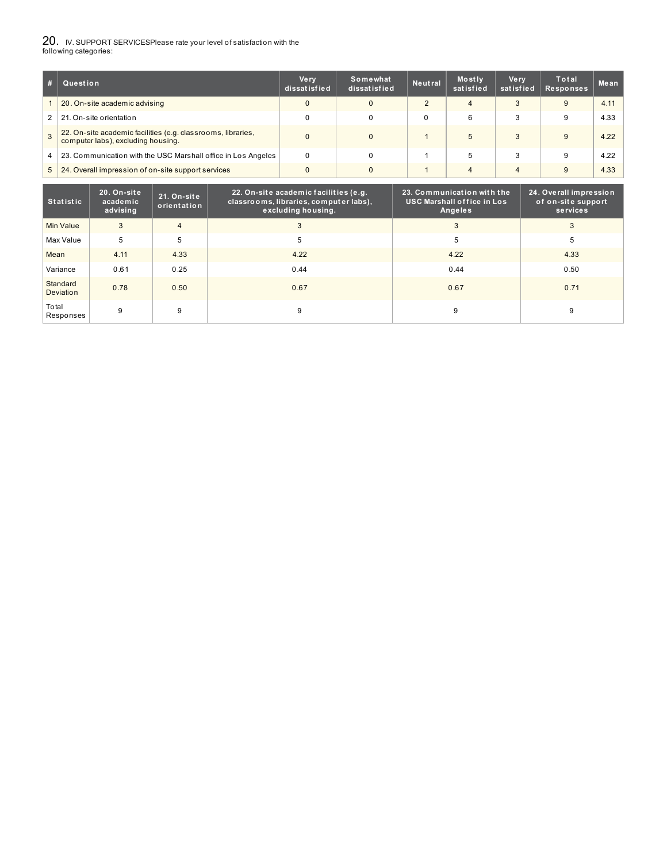# 20. IV. SUPPORT SERVICESPlease rate your level of satisfaction with the following categories:

|               | Question                                                                                           | <b>Very</b><br>dissatisfied | Somewhat<br>dissatisfied | <b>Neutral</b> | Mostly<br>satisfied | <b>Very</b><br>satisfied | Total<br>Responses | Mean |
|---------------|----------------------------------------------------------------------------------------------------|-----------------------------|--------------------------|----------------|---------------------|--------------------------|--------------------|------|
|               | 20. On-site academic advising                                                                      |                             |                          | ◠              | 4                   |                          | 9                  | 4.11 |
| 2             | 21. On-site orientation                                                                            |                             |                          |                | 6                   | З                        | 9                  | 4.33 |
| $\mathcal{B}$ | 22. On-site academic facilities (e.g. classrooms, libraries,<br>computer labs), excluding housing. |                             | $\mathbf{0}$             |                | 5                   | 3                        | 9                  | 4.22 |
| 4             | 23. Communication with the USC Marshall office in Los Angeles                                      | 0                           | 0                        |                |                     | 3                        | 9                  | 4.22 |
| 5             | 24. Overall impression of on-site support services                                                 |                             |                          |                |                     | $\overline{4}$           | 9                  | 4.33 |

| <b>Statistic</b>      | 20. On-site<br>academic<br>advising | 21. On-site<br>orientation | 22. On-site academic facilities (e.g.<br>classrooms, libraries, computer labs),<br>excluding housing. | 23. Communication with the<br><b>USC Marshall office in Los</b><br>Angeles | 24. Overall impression<br>of on-site support<br>services |
|-----------------------|-------------------------------------|----------------------------|-------------------------------------------------------------------------------------------------------|----------------------------------------------------------------------------|----------------------------------------------------------|
| Min Value             | 3                                   | $\overline{4}$             | 3                                                                                                     | -1                                                                         | 3                                                        |
| Max Value             | 5                                   | 5                          | 5                                                                                                     | 5                                                                          | 5                                                        |
| Mean                  | 4.11                                | 4.33                       | 4.22                                                                                                  | 4.22                                                                       | 4.33                                                     |
| Variance              | 0.61                                | 0.25                       | 0.44                                                                                                  | 0.44                                                                       | 0.50                                                     |
| Standard<br>Deviation | 0.78                                | 0.50                       | 0.67                                                                                                  | 0.67                                                                       | 0.71                                                     |
| Total<br>Responses    | 9                                   | 9                          | 9                                                                                                     | 9                                                                          | 9                                                        |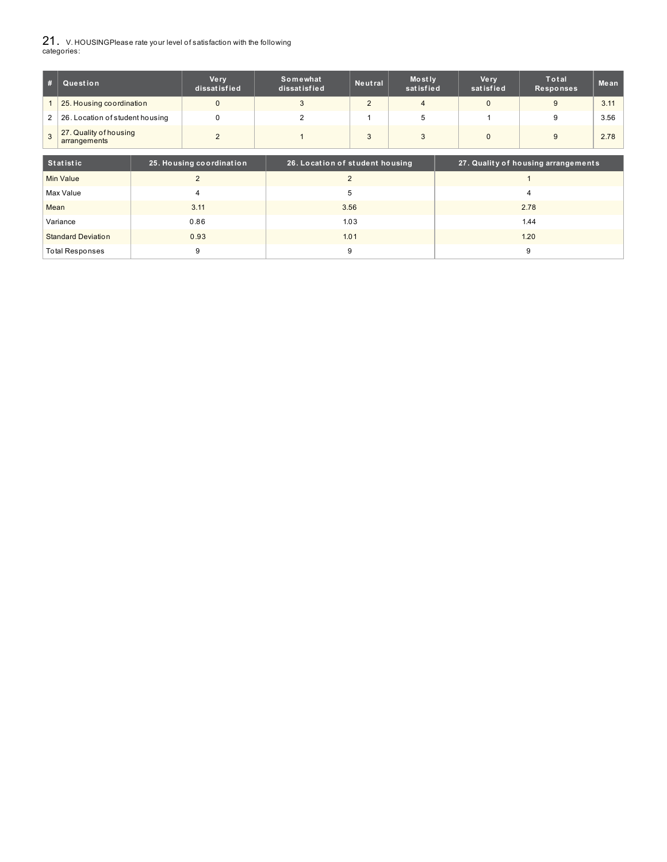21. V. HOUSINGPlease rate your level of satisfaction with the following categories:

| #              | Question                               | <b>Very</b><br>dissatisfied | Somewhat<br>dissatisfied | Neutral | Mostly<br>satisfied | Ve rv<br>satisfied | Total<br>Responses | Me an |
|----------------|----------------------------------------|-----------------------------|--------------------------|---------|---------------------|--------------------|--------------------|-------|
|                | 25. Housing coordination               |                             |                          |         |                     |                    |                    | 3.11  |
| 2 <sup>1</sup> | 26. Location of student housing        |                             |                          |         |                     |                    | 9                  | 3.56  |
| 3              | 27. Quality of housing<br>arrangements |                             |                          |         |                     |                    | 9                  | 2.78  |

| Statistic                 | 25. Housing coordination | 26. Location of student housing | 27. Quality of housing arrangements |
|---------------------------|--------------------------|---------------------------------|-------------------------------------|
| Min Value                 |                          |                                 |                                     |
| Max Value                 |                          |                                 |                                     |
| Mean                      | 3.11                     | 3.56                            | 2.78                                |
| Variance                  | 0.86                     | 1.03                            | 1.44                                |
| <b>Standard Deviation</b> | 0.93                     | 1.01                            | 1.20                                |
| <b>Total Responses</b>    |                          |                                 |                                     |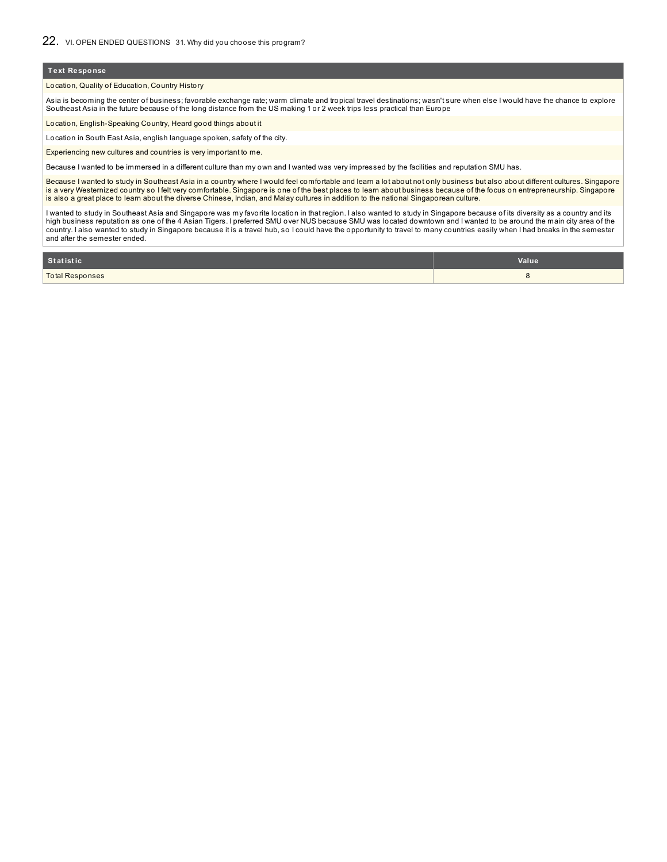#### Location, Quality of Education, Country History

Asia is becoming the center of business; favorable exchange rate; warm climate and tropical travel destinations; wasn't sure when else I would have the chance to explore Southeast Asia in the future because of the long distance from the US making 1 or 2 week trips less practical than Europe

Location, English-Speaking Country, Heard good things about it

Location in South East Asia, english language spoken, safety of the city.

Experiencing new cultures and countries is very important to me.

Because I wanted to be immersed in a different culture than my own and I wanted was very impressed by the facilities and reputation SMU has.

Because I wanted to study in Southeast Asia in a country where I would feel comfortable and learn a lot about not only business but also about different cultures. Singapore is a very Westernized country so I felt very comfortable. Singapore is one of the best places to learn about business because of the focus on entrepreneurship. Singapore is also a great place to learn about the diverse Chinese, Indian, and Malay cultures in addition to the national Singaporean culture.

I wanted to study in Southeast Asia and Singapore was my favorite location in that region. I also wanted to study in Singapore because of its diversity as a country and its high business reputation as one of the 4 Asian Tigers. I preferred SMU over NUS because SMU was located downtown and I wanted to be around the main city area of the country. I also wanted to study in Singapore because it is a travel hub, so I could have the opportunity to travel to many countries easily when I had breaks in the semester and after the semester ended.

| <b>Statistic</b>       | Value |
|------------------------|-------|
| <b>Total Responses</b> |       |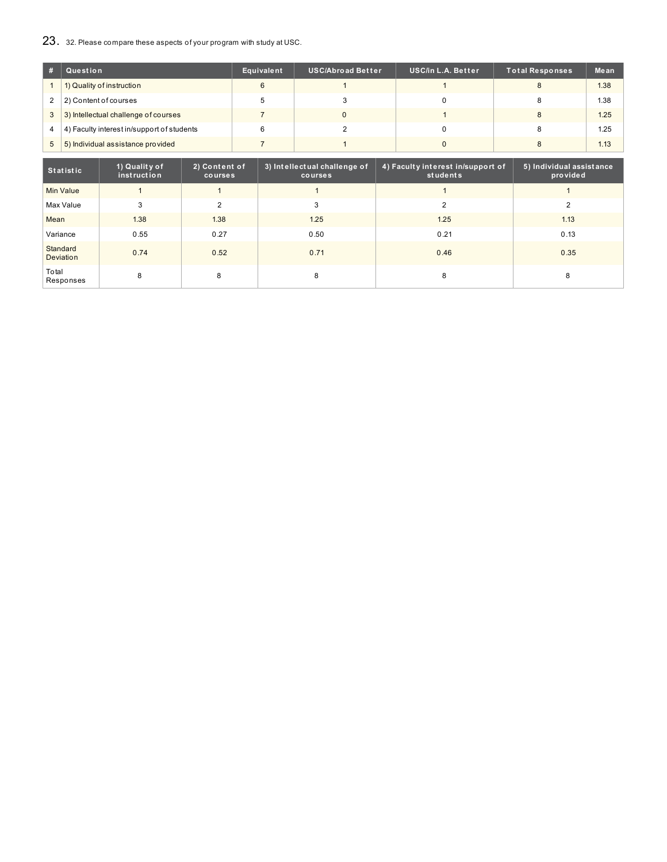# 23. 32. Please compare these aspects of your program with study at USC.

|              | Question                                   | Equivalent | <b>USC/Abroad Better</b> | <b>USC/in L.A. Better</b> | Total Responses | Mean |
|--------------|--------------------------------------------|------------|--------------------------|---------------------------|-----------------|------|
|              | 1) Quality of instruction                  | 6          |                          |                           |                 | 1.38 |
| 2            | 2) Content of courses                      |            |                          |                           |                 | 1.38 |
| $\mathbf{3}$ | 3) Intellectual challenge of courses       |            |                          |                           |                 | 1.25 |
| 4            | 4) Faculty interest in/support of students | 6          |                          |                           |                 | 1.25 |
| 5            | 5) Individual assistance provided          |            |                          |                           |                 | 1.13 |

| <b>Statistic</b>      | 1) Quality of<br>instruction | 2) Content of<br>courses | 3) Intellectual challenge of<br>courses | 4) Faculty interest in/support of<br>students | 5) Individual assistance<br>provided |
|-----------------------|------------------------------|--------------------------|-----------------------------------------|-----------------------------------------------|--------------------------------------|
| <b>Min Value</b>      |                              |                          |                                         |                                               |                                      |
| Max Value             | 3                            | $\overline{2}$           | 3                                       | $\overline{2}$                                | 2                                    |
| Mean                  | 1.38                         | 1.38                     | 1.25                                    | 1.25                                          | 1.13                                 |
| Variance              | 0.55                         | 0.27                     | 0.50                                    | 0.21                                          | 0.13                                 |
| Standard<br>Deviation | 0.74                         | 0.52                     | 0.71                                    | 0.46                                          | 0.35                                 |
| Total<br>Responses    | 8                            | 8                        | 8                                       | 8                                             | 8                                    |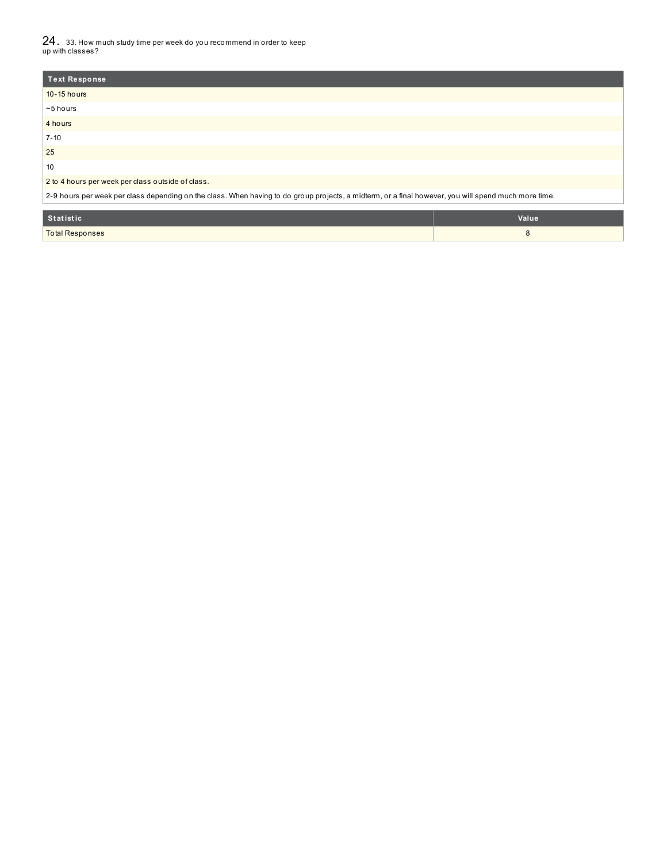24. 33. How much study time per week do you recommend in order to keep up with classes?

### 2 to 4 hours per week per class outside of class.

2-9 hours per week per class depending on the class. When having to do group projects, a midterm, or a final however, you will spend much more time.

| Statistic       | Value |
|-----------------|-------|
| Total Responses |       |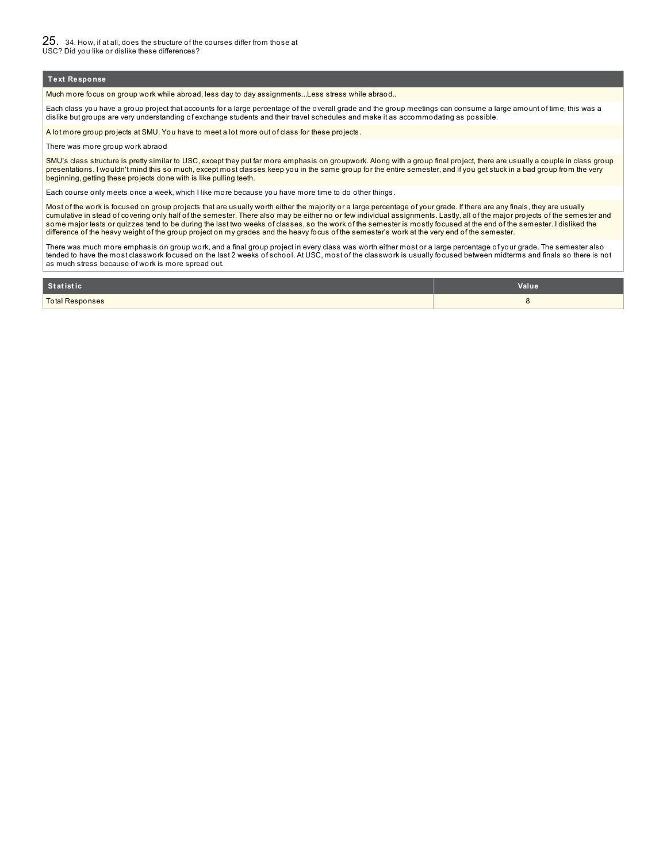Much more focus on group work while abroad, less day to day assignments...Less stress while abraod..

Each class you have a group project that accounts for a large percentage of the overall grade and the group meetings can consume a large amount of time, this was a dislike but groups are very understanding of exchange students and their travel schedules and make it as accommodating as possible.

A lot more group projects at SMU. You have to meet a lot more out of class for these projects.

There was more group work abraod

SMU's class structure is pretty similar to USC, except they put far more emphasis on groupwork. Along with a group final project, there are usually a couple in class group presentations. I wouldn't mind this so much, except most classes keep you in the same group for the entire semester, and if you get stuck in a bad group from the very beginning, getting these projects done with is like pulling teeth.

Each course only meets once a week, which I like more because you have more time to do other things.

Most of the work is focused on group projects that are usually worth either the majority or a large percentage of your grade. If there are any finals, they are usually cumulative in stead of covering only half of the semester. There also may be either no or few individual assignments. Lastly, all of the major projects of the semester and some major tests or quizzes tend to be during the last two weeks of classes, so the work of the semester is mostly focused at the end of the semester. I disliked the difference of the heavy weight of the group project on my grades and the heavy focus of the semester's work at the very end of the semester.

There was much more emphasis on group work, and a final group project in every class was worth either most or a large percentage of your grade. The semester also tended to have the most classwork focused on the last 2 weeks of school. At USC, most of the classwork is usually focused between midterms and finals so there is not as much stress because of work is more spread out.

| Statistic              | Value |
|------------------------|-------|
| <b>Total Responses</b> |       |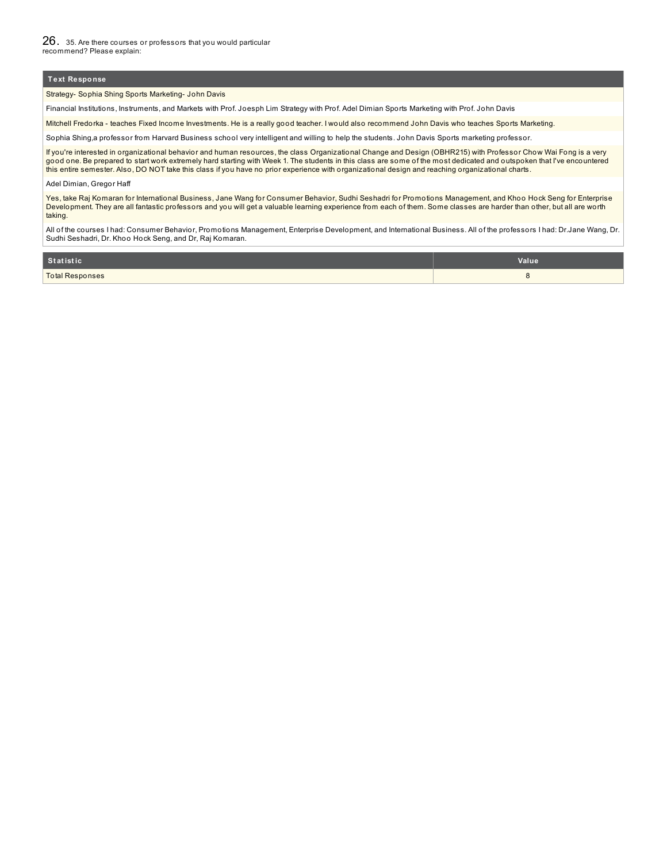Strategy- Sophia Shing Sports Marketing- John Davis

Financial Institutions, Instruments, and Markets with Prof. Joesph Lim Strategy with Prof. Adel Dimian Sports Marketing with Prof. John Davis

Mitchell Fredorka - teaches Fixed Income Investments. He is a really good teacher. I would also recommend John Davis who teaches Sports Marketing.

Sophia Shing,a professor from Harvard Business school very intelligent and willing to help the students. John Davis Sports marketing professor.

If you're interested in organizational behavior and human resources, the class Organizational Change and Design (OBHR215) with Professor Chow Wai Fong is a very good one. Be prepared to start work extremely hard starting with Week 1. The students in this class are some of the most dedicated and outspoken that I've encountered this entire semester. Also, DO NOT take this class if you have no prior experience with organizational design and reaching organizational charts.

#### Adel Dimian, Gregor Haff

Yes, take Raj Komaran for International Business, Jane Wang for Consumer Behavior, Sudhi Seshadri for Promotions Management, and Khoo Hock Seng for Enterprise Development. They are all fantastic professors and you will get a valuable learning experience from each of them. Some classes are harder than other, but all are worth taking.

All of the courses I had: Consumer Behavior, Promotions Management, Enterprise Development, and International Business. All of the professors I had: Dr.Jane Wang, Dr. Sudhi Seshadri, Dr. Khoo Hock Seng, and Dr, Raj Komaran.

| Statistic              | Value <sup>'</sup> |
|------------------------|--------------------|
| <b>Total Responses</b> |                    |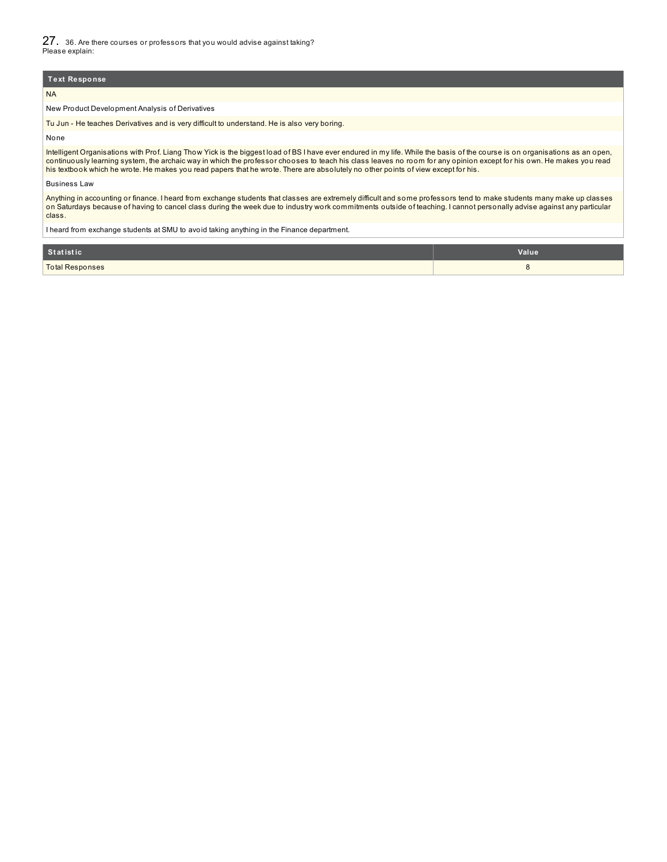### NA

New Product Development Analysis of Derivatives

Tu Jun - He teaches Derivatives and is very difficult to understand. He is also very boring.

None

Intelligent Organisations with Prof. Liang Thow Yick is the biggest load of BS I have ever endured in my life. While the basis of the course is on organisations as an open, continuously learning system, the archaic way in which the professor chooses to teach his class leaves no room for any opinion except for his own. He makes you read his textbook which he wrote. He makes you read papers that he wrote. There are absolutely no other points of view except for his.

#### Business Law

Anything in accounting or finance. I heard from exchange students that classes are extremely difficult and some professors tend to make students many make up classes on Saturdays because of having to cancel class during the week due to industry work commitments outside of teaching. I cannot personally advise against any particular class.

I heard from exchange students at SMU to avoid taking anything in the Finance department.

| Statistic              | Value |
|------------------------|-------|
| <b>Total Responses</b> |       |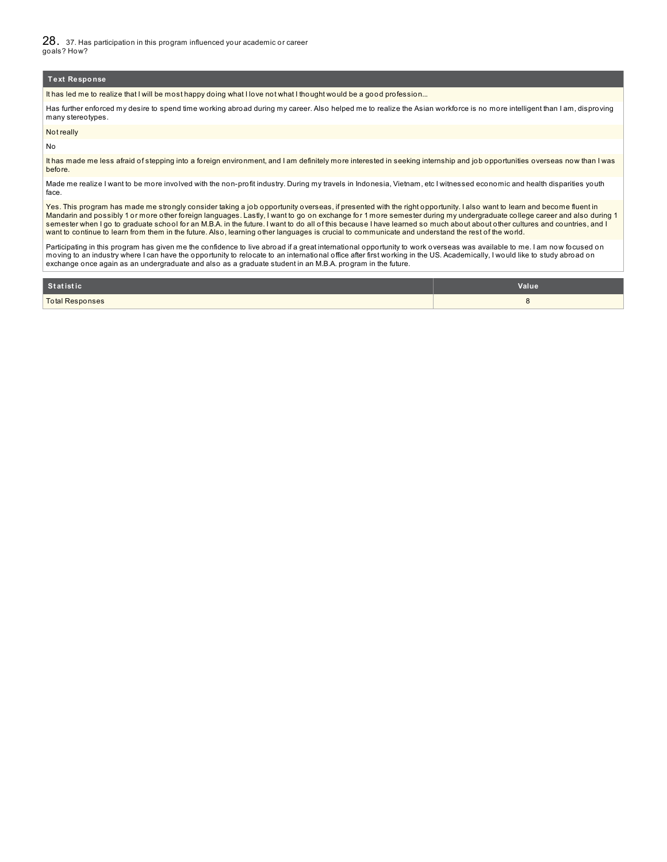28. 37. Has participation in this program influenced your academic or career goals? How?

#### **Text Response**

It has led me to realize that I will be most happy doing what I love not what I thought would be a good profession...

Has further enforced my desire to spend time working abroad during my career. Also helped me to realize the Asian workforce is no more intelligent than I am, disproving many stereotypes.

#### Not really

No

It has made me less afraid of stepping into a foreign environment, and I am definitely more interested in seeking internship and job opportunities overseas now than I was before.

Made me realize I want to be more involved with the non-profit industry. During my travels in Indonesia, Vietnam, etc I witnessed economic and health disparities youth face.

Yes. This program has made me strongly consider taking a job opportunity overseas, if presented with the right opportunity. I also want to learn and become fluent in Mandarin and possibly 1 or more other foreign languages. Lastly, I want to go on exchange for 1 more semester during my undergraduate college career and also during 1 semester when I go to graduate school for an M.B.A. in the future. I want to do all of this because I have learned so much about about about other cultures and countries, and I want to continue to learn from them in the future. Also, learning other languages is crucial to communicate and understand the rest of the world.

Participating in this program has given me the confidence to live abroad if a great international opportunity to work overseas was available to me. I am now focused on moving to an industry where I can have the opportunity to relocate to an international office after first working in the US. Academically, I would like to study abroad on exchange once again as an undergraduate and also as a graduate student in an M.B.A. program in the future.

| Statistic       | Value |
|-----------------|-------|
| Total Responses |       |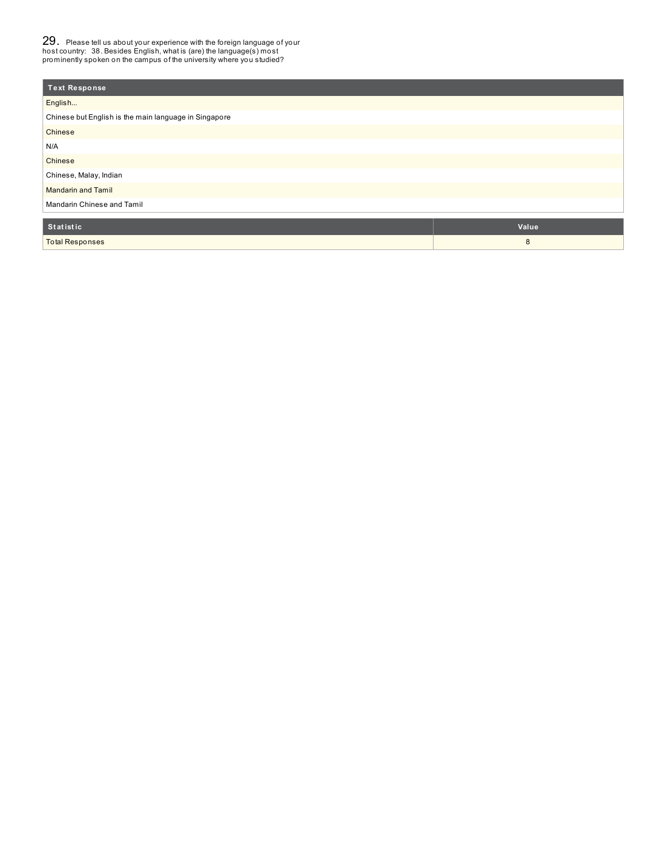29. Please tell us about your experience with the foreign language of your host country: 38. Besides English, what is (are) the language(s) most prominently spoken on the campus of the university where you studied?

| <b>Text Response</b>                                  |       |  |  |  |
|-------------------------------------------------------|-------|--|--|--|
| English                                               |       |  |  |  |
| Chinese but English is the main language in Singapore |       |  |  |  |
| Chinese                                               |       |  |  |  |
| N/A                                                   |       |  |  |  |
| Chinese                                               |       |  |  |  |
| Chinese, Malay, Indian                                |       |  |  |  |
| <b>Mandarin and Tamil</b>                             |       |  |  |  |
| Mandarin Chinese and Tamil                            |       |  |  |  |
| Statistic                                             | Value |  |  |  |
| <b>Total Responses</b>                                | 8     |  |  |  |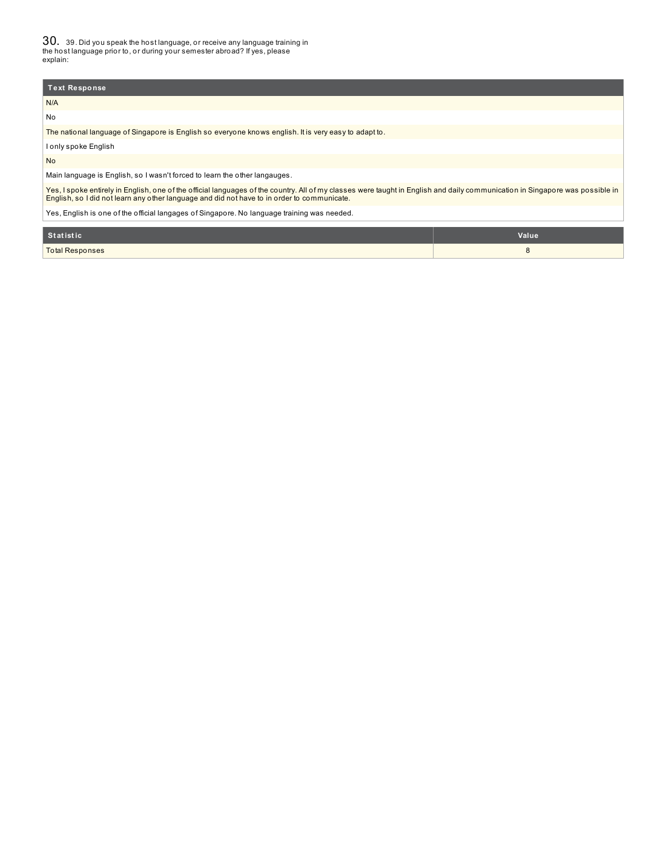30. 39. Did you speak the host language, or receive any language training in the host language prior to, or during your semester abroad? If yes, please explain:

| <b>Text Response</b>                                                                                  |
|-------------------------------------------------------------------------------------------------------|
| N/A                                                                                                   |
| No                                                                                                    |
| The national language of Singapore is English so everyone knows english. It is very easy to adapt to. |
| I only spoke English                                                                                  |

No

Main language is English, so I wasn't forced to learn the other langauges.

Yes, I spoke entirely in English, one of the official languages of the country. All of my classes were taught in English and daily communication in Singapore was possible in<br>English, so I did not learn any other language a

Yes, English is one of the official langages of Singapore. No language training was needed.

| Statistic              | Value |
|------------------------|-------|
| <b>Total Responses</b> |       |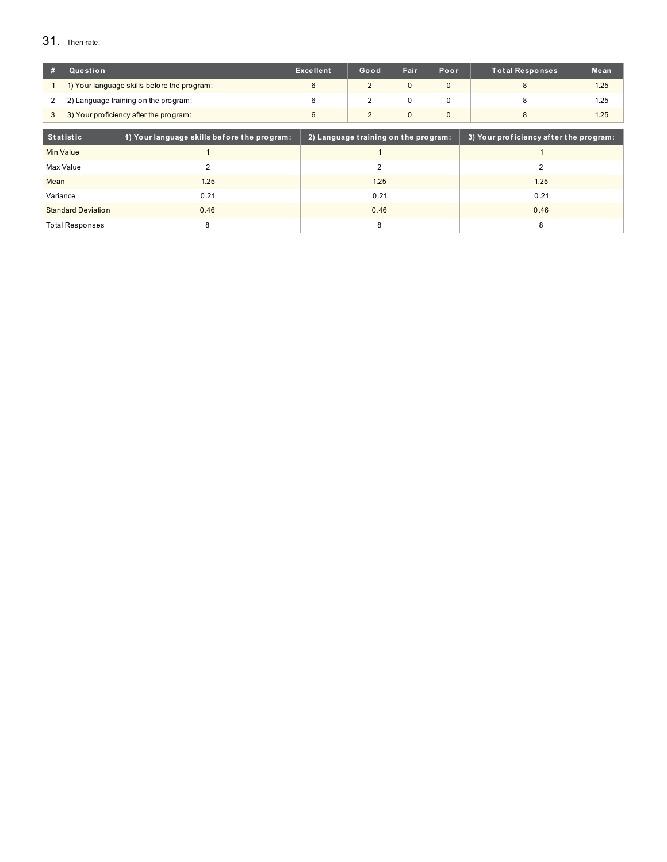# 31. Then rate:

|        | Question                                    | <b>Excellent</b> | Good | Fair | <b>Poor</b> | <b>Total Responses</b> | Mean |
|--------|---------------------------------------------|------------------|------|------|-------------|------------------------|------|
|        | 1) Your language skills before the program: |                  |      |      |             |                        | 1.25 |
| $\sim$ | 2) Language training on the program:        |                  |      |      |             |                        | 1.25 |
|        | 3) Your proficiency after the program:      |                  |      |      |             |                        | 1.25 |
|        |                                             |                  |      |      |             |                        |      |

| Statistic                 | 1) Your language skills before the program: | 2) Language training on the program: | 3) Your proficiency after the program: |
|---------------------------|---------------------------------------------|--------------------------------------|----------------------------------------|
| <b>Min Value</b>          |                                             |                                      |                                        |
| Max Value                 |                                             |                                      |                                        |
| Mean                      | 1.25                                        | 1.25                                 | 1.25                                   |
| Variance                  | 0.21                                        | 0.21                                 | 0.21                                   |
| <b>Standard Deviation</b> | 0.46                                        | 0.46                                 | 0.46                                   |
| <b>Total Responses</b>    |                                             |                                      | 8                                      |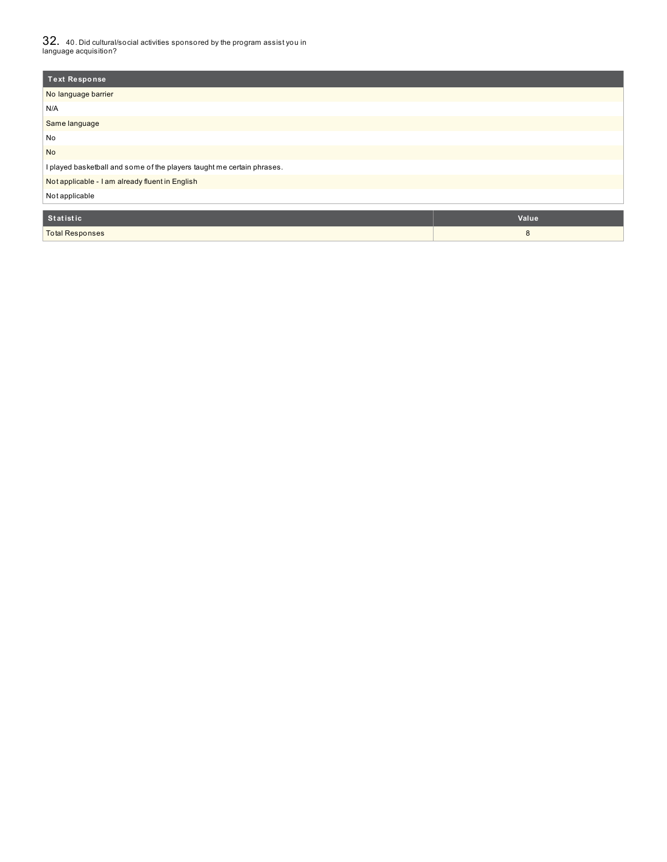$32_\cdot$  40. Did cultural/social activities sponsored by the program assist you in<br>language acquisition?

| <b>Text Response</b>                                                   |         |
|------------------------------------------------------------------------|---------|
| No language barrier                                                    |         |
| N/A                                                                    |         |
| Same language                                                          |         |
| No                                                                     |         |
| <b>No</b>                                                              |         |
| I played basketball and some of the players taught me certain phrases. |         |
| Not applicable - I am already fluent in English                        |         |
| Not applicable                                                         |         |
| $C_{4}$                                                                | Valting |

| Statistic'             | <b>Value</b> |
|------------------------|--------------|
| <b>Total Responses</b> |              |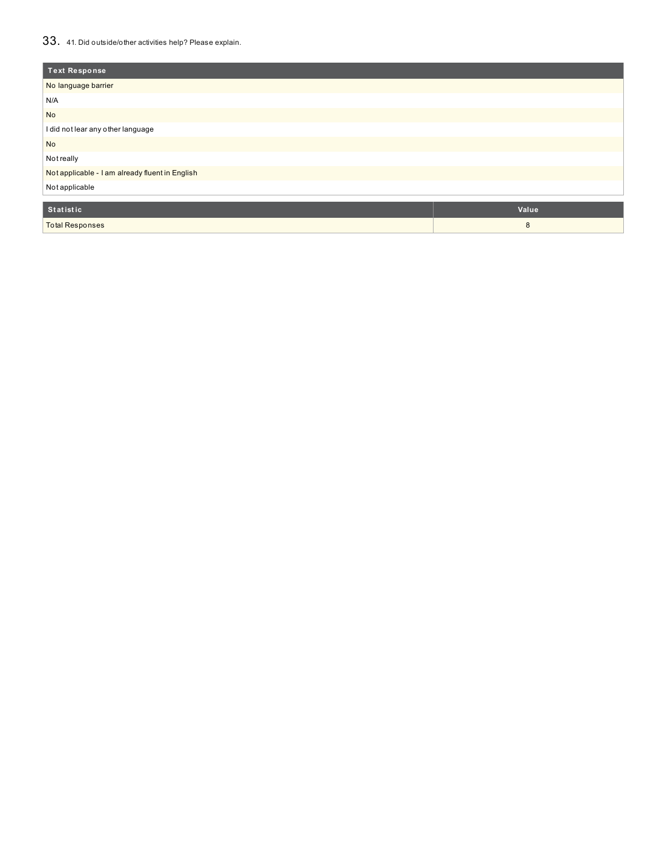# 33. 41. Did outside/other activities help? Please explain.

| <b>Text Response</b>                            |       |  |  |  |  |  |  |
|-------------------------------------------------|-------|--|--|--|--|--|--|
| No language barrier                             |       |  |  |  |  |  |  |
| N/A                                             |       |  |  |  |  |  |  |
| No                                              |       |  |  |  |  |  |  |
| I did not lear any other language               |       |  |  |  |  |  |  |
| <b>No</b>                                       |       |  |  |  |  |  |  |
| Not really                                      |       |  |  |  |  |  |  |
| Not applicable - I am already fluent in English |       |  |  |  |  |  |  |
| Not applicable                                  |       |  |  |  |  |  |  |
| Statistic                                       | Value |  |  |  |  |  |  |
| <b>Total Responses</b>                          | 8     |  |  |  |  |  |  |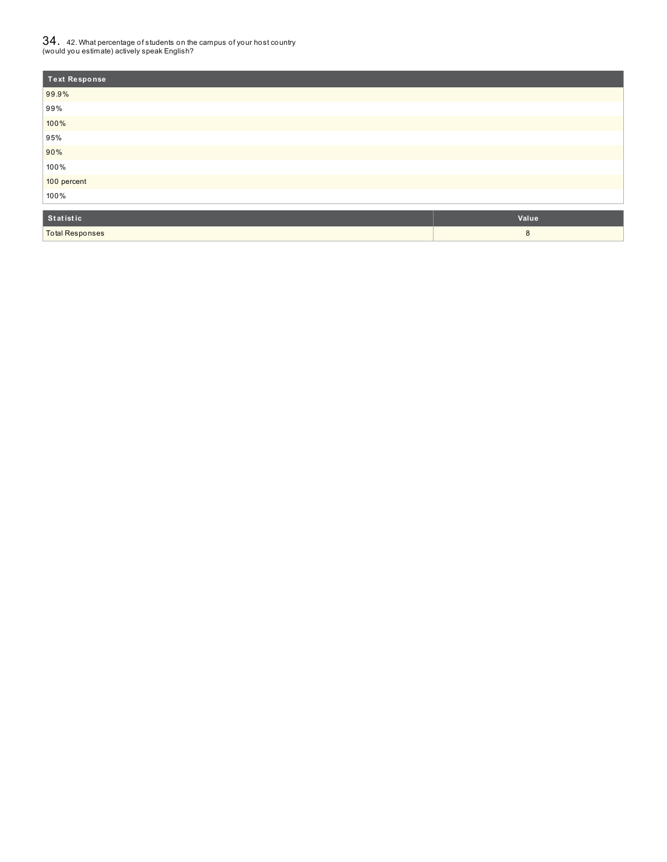# ${\bf 34}$  .  $\,$  42. What percentage of students on the campus of your host country<br>(would you estimate) actively speak English?

| <b>Text Response</b> |  |
|----------------------|--|
| 99.9%                |  |
| 99%                  |  |
| 100%                 |  |
| 95%                  |  |
| 90%                  |  |
| 100%                 |  |
| 100 percent          |  |
| 100%                 |  |
|                      |  |

| Statistic              | Value |
|------------------------|-------|
| <b>Total Responses</b> |       |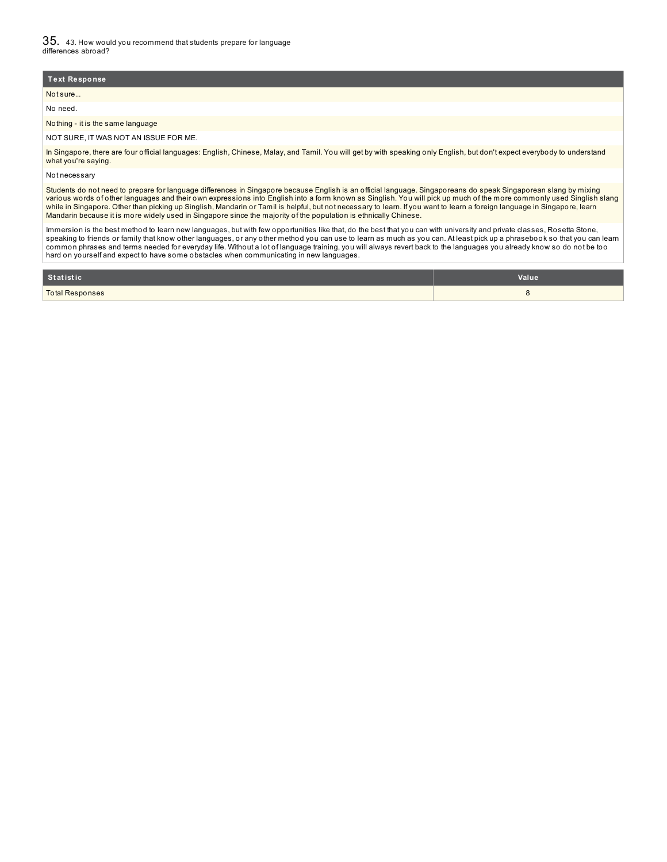| Text Response                         |
|---------------------------------------|
| Not sure                              |
| No need.                              |
| Nothing - it is the same language     |
| NOT SURE, IT WAS NOT AN ISSUE FOR ME. |

In Singapore, there are four official languages: English, Chinese, Malay, and Tamil. You will get by with speaking only English, but don't expect everybody to understand what you're saying.

Not necessary

Students do not need to prepare for language differences in Singapore because English is an official language. Singaporeans do speak Singaporean slang by mixing various words of other languages and their own expressions into English into a form known as Singlish. You will pick up much of the more commonly used Singlish slang while in Singapore. Other than picking up Singlish, Mandarin or Tamil is helpful, but not necessary to learn. If you want to learn a foreign language in Singapore, learn Mandarin because it is more widely used in Singapore since the majority of the population is ethnically Chinese.

Immersion is the best method to learn new languages, but with few opportunities like that, do the best that you can with university and private classes, Rosetta Stone, speaking to friends or family that know other languages, or any other method you can use to learn as much as you can. At least pick up a phrasebook so that you can learn common phrases and terms needed for everyday life. Without a lot of language training, you will always revert back to the languages you already know so do not be too hard on yourself and expect to have some obstacles when communicating in new languages.

| Statistic              | Value |
|------------------------|-------|
| <b>Total Responses</b> |       |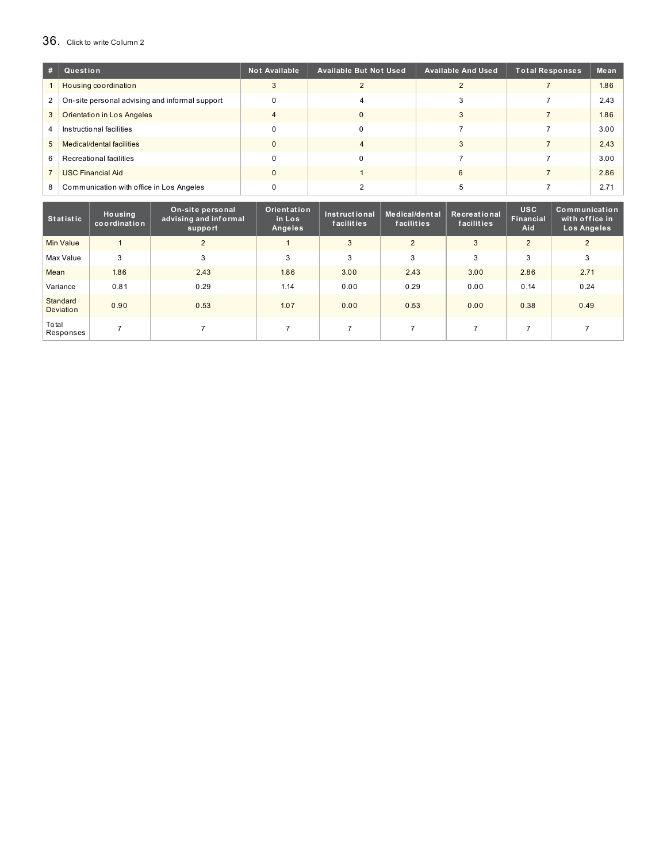# 36. Click to write Column <sup>2</sup>

| #              | Question                                       | <b>Not Available</b> | <b>Available But Not Used</b> | <b>Available And Used</b> | <b>Total Responses</b> | Mean |
|----------------|------------------------------------------------|----------------------|-------------------------------|---------------------------|------------------------|------|
|                | Housing coordination                           |                      |                               |                           |                        | 1.86 |
| $\mathbf{2}$   | On-site personal advising and informal support | $\Omega$             |                               |                           |                        | 2.43 |
| 3              | <b>Orientation in Los Angeles</b>              |                      |                               |                           |                        | 1.86 |
| $\overline{4}$ | Instructional facilities                       | $\Omega$             |                               |                           |                        | 3.00 |
| 5 <sup>5</sup> | Medical/dental facilities                      | $\Omega$             |                               |                           |                        | 2.43 |
| 6              | Recreational facilities                        | $\Omega$             |                               |                           |                        | 3.00 |
|                | <b>USC Financial Aid</b>                       | $\Omega$             |                               |                           |                        | 2.86 |
| 8              | Communication with office in Los Angeles       |                      |                               |                           |                        | 2.71 |

| <b>Statistic</b>      | Housing<br>coordination | On-site personal<br>advising and informal<br>support | Orientation<br>in Los<br>Angeles | Instructional<br>facilities | Medical/dental<br>facilities | Recreational<br>facilities | <b>USC</b><br><b>Financial</b><br>Aid | Communication<br>with office in<br>Los Angeles |
|-----------------------|-------------------------|------------------------------------------------------|----------------------------------|-----------------------------|------------------------------|----------------------------|---------------------------------------|------------------------------------------------|
| <b>Min Value</b>      |                         | $\overline{2}$                                       |                                  | 3                           | $\overline{2}$               | 3                          | $\overline{2}$                        | 2                                              |
| Max Value             | 3                       | 3                                                    | 3                                | 3                           | 3                            | 3                          | 3                                     | 3                                              |
| Mean                  | 1.86                    | 2.43                                                 | 1.86                             | 3.00                        | 2.43                         | 3.00                       | 2.86                                  | 2.71                                           |
| Variance              | 0.81                    | 0.29                                                 | 1.14                             | 0.00                        | 0.29                         | 0.00                       | 0.14                                  | 0.24                                           |
| Standard<br>Deviation | 0.90                    | 0.53                                                 | 1.07                             | 0.00                        | 0.53                         | 0.00                       | 0.38                                  | 0.49                                           |
| Total<br>Responses    |                         |                                                      |                                  |                             |                              |                            |                                       |                                                |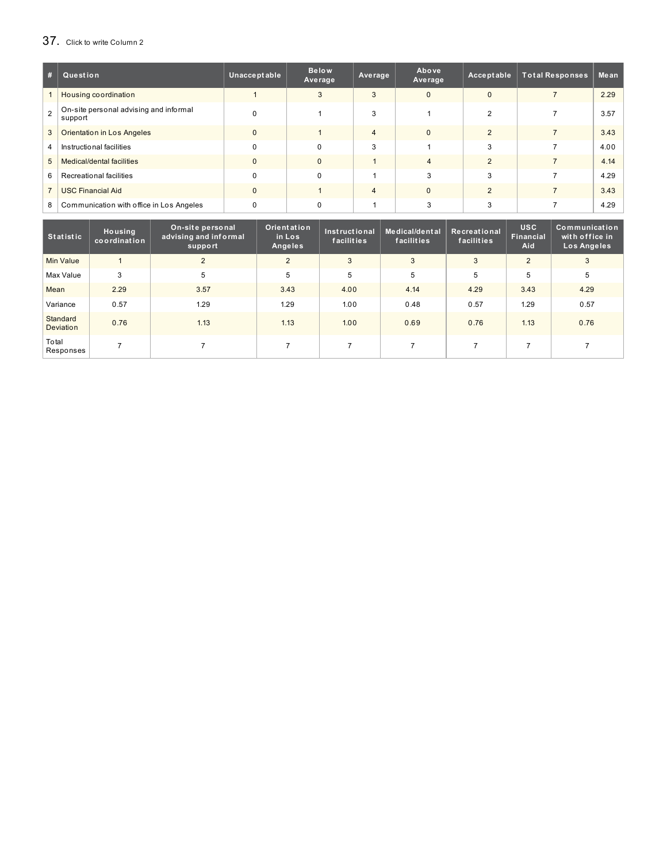# 37. Click to write Column <sup>2</sup>

| #              | Question                                          | Unacceptable | <b>Below</b><br>Average | Average        | Above<br>Average | Acceptable    | <b>Total Responses</b> | Mean |
|----------------|---------------------------------------------------|--------------|-------------------------|----------------|------------------|---------------|------------------------|------|
|                | Housing coordination                              |              | 3                       | 3              | $\Omega$         | $\Omega$      |                        | 2.29 |
| $\mathcal{P}$  | On-site personal advising and informal<br>support | $\Omega$     |                         | 3              |                  | 2             |                        | 3.57 |
| 3              | <b>Orientation in Los Angeles</b>                 | $\Omega$     |                         | $\overline{4}$ | $\Omega$         | $\mathcal{P}$ |                        | 3.43 |
| $\overline{4}$ | Instructional facilities                          | $\Omega$     | $\Omega$                | 3              |                  | 3             |                        | 4.00 |
| 5              | Medical/dental facilities                         | $\Omega$     | $\Omega$                |                |                  | $\mathcal{P}$ |                        | 4.14 |
| 6              | Recreational facilities                           | $\Omega$     | $\Omega$                |                | 3                | 3             |                        | 4.29 |
|                | <b>USC Financial Aid</b>                          | $\Omega$     |                         | $\overline{4}$ | $\Omega$         | $\mathcal{P}$ |                        | 3.43 |
| 8              | Communication with office in Los Angeles          | $\Omega$     | $\Omega$                |                | 3                | 3             |                        | 4.29 |

| <b>Statistic</b>      | Housing<br>coordination | On-site personal<br>advising and informal<br>support | Orientation<br>in Los<br>Angeles | Instructional<br>facilities | Medical/dental<br>facilities | Recreational<br>facilities | <b>USC</b><br><b>Financial</b><br>Aid | Communication<br>with office in<br>Los Angeles |
|-----------------------|-------------------------|------------------------------------------------------|----------------------------------|-----------------------------|------------------------------|----------------------------|---------------------------------------|------------------------------------------------|
| <b>Min Value</b>      |                         | $\overline{2}$                                       | $\overline{2}$                   | 3                           | 3                            | 3                          | 2                                     | 3                                              |
| Max Value             | 3                       | 5                                                    | 5                                | 5                           | 5                            | 5                          | 5                                     | 5                                              |
| Mean                  | 2.29                    | 3.57                                                 | 3.43                             | 4.00                        | 4.14                         | 4.29                       | 3.43                                  | 4.29                                           |
| Variance              | 0.57                    | 1.29                                                 | 1.29                             | 1.00                        | 0.48                         | 0.57                       | 1.29                                  | 0.57                                           |
| Standard<br>Deviation | 0.76                    | 1.13                                                 | 1.13                             | 1.00                        | 0.69                         | 0.76                       | 1.13                                  | 0.76                                           |
| Total<br>Responses    | ⇁                       |                                                      |                                  | $\overline{ }$              |                              |                            |                                       |                                                |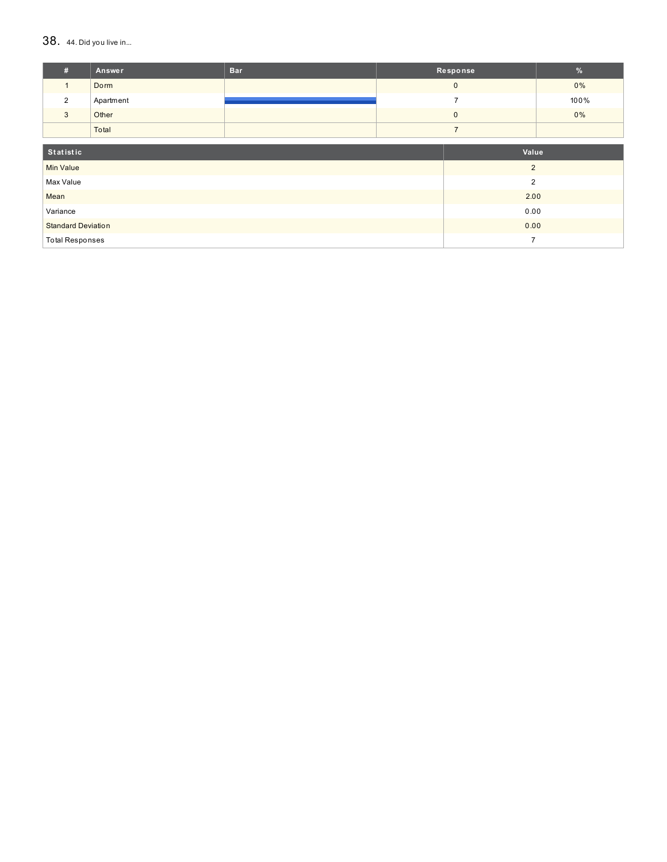### $38.$  44. Did you live in...

| #                         | Answer    | <b>Bar</b> |       | Response       | %     |
|---------------------------|-----------|------------|-------|----------------|-------|
| $\mathbf{1}$              | Dorm      |            |       | $\mathbf{0}$   | $0\%$ |
| $\overline{2}$            | Apartment |            |       | $\overline{7}$ | 100%  |
| 3                         | Other     |            |       | $\pmb{0}$      | $0\%$ |
|                           | Total     |            |       | $\overline{7}$ |       |
| Statistic                 |           |            | Value |                |       |
| <b>Min Value</b>          |           |            |       | $\overline{2}$ |       |
| Max Value                 |           |            |       | $\overline{2}$ |       |
| Mean                      |           |            |       | 2.00           |       |
| Variance                  |           |            |       | 0.00           |       |
| <b>Standard Deviation</b> |           |            |       | 0.00           |       |
| <b>Total Responses</b>    |           |            |       | $\overline{7}$ |       |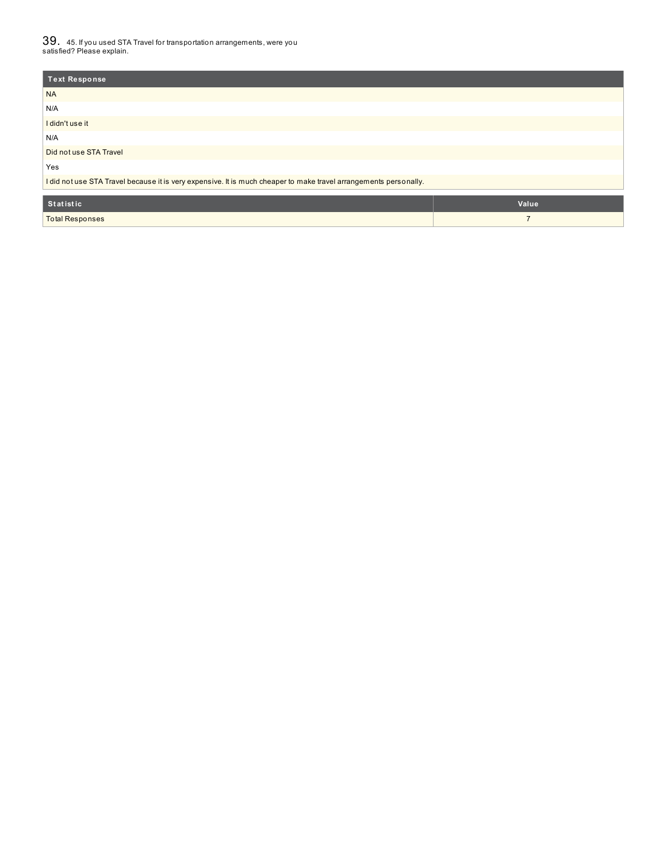$39_\cdot$  45. If you used STA Travel for transportation arrangements, were you<br>satisfied? Please explain.

| <b>Text Response</b>                                                                                              |                |
|-------------------------------------------------------------------------------------------------------------------|----------------|
| <b>NA</b>                                                                                                         |                |
| N/A                                                                                                               |                |
| I didn't use it                                                                                                   |                |
| N/A                                                                                                               |                |
| Did not use STA Travel                                                                                            |                |
| Yes                                                                                                               |                |
| I did not use STA Travel because it is very expensive. It is much cheaper to make travel arrangements personally. |                |
| Statistic                                                                                                         | Value          |
| <b>Total Responses</b>                                                                                            | $\overline{ }$ |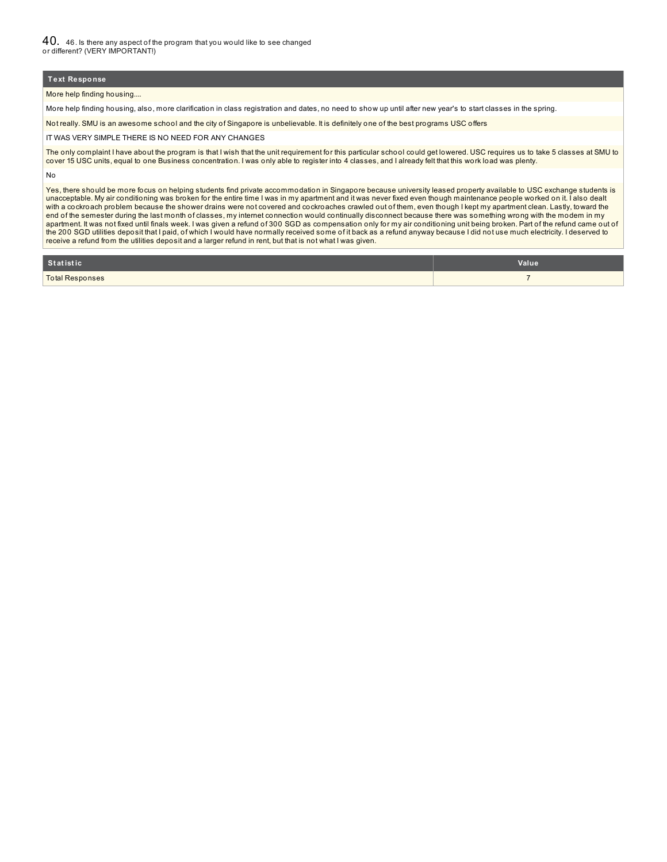40. 46. Is there any aspect of the program that you would like to see changed or different? (VERY IMPORTANT!)

### **Text Response**

More help finding housing....

More help finding housing, also, more clarification in class registration and dates, no need to show up until after new year's to start classes in the spring.

Not really. SMU is an awesome school and the city of Singapore is unbelievable. It is definitely one of the best programs USC offers

IT WAS VERY SIMPLE THERE IS NO NEED FOR ANY CHANGES

The only complaint I have about the program is that I wish that the unit requirement for this particular school could get lowered. USC requires us to take 5 classes at SMU to cover 15 USC units, equal to one Business concentration. I was only able to register into 4 classes, and I already felt that this work load was plenty.

No

Yes, there should be more focus on helping students find private accommodation in Singapore because university leased property available to USC exchange students is unacceptable. My air conditioning was broken for the entire time I was in my apartment and it was never fixed even though maintenance people worked on it. I also dealt with a cockroach problem because the shower drains were not covered and cockroaches crawled out of them, even though I kept my apartment clean. Lastly, toward the end of the semester during the last month of classes, my internet connection would continually disconnect because there was something wrong with the modem in my apartment. It was not fixed until finals week. I was given a refund of 300 SGD as compensation only for my air conditioning unit being broken. Part of the refund came out of the 200 SGD utilities deposit that I paid, of which I would have normally received some of it back as a refund anyway because I did not use much electricity. I deserved to receive a refund from the utilities deposit and a larger refund in rent, but that is not what I was given.

| Statistic              | Value |
|------------------------|-------|
| <b>Total Responses</b> |       |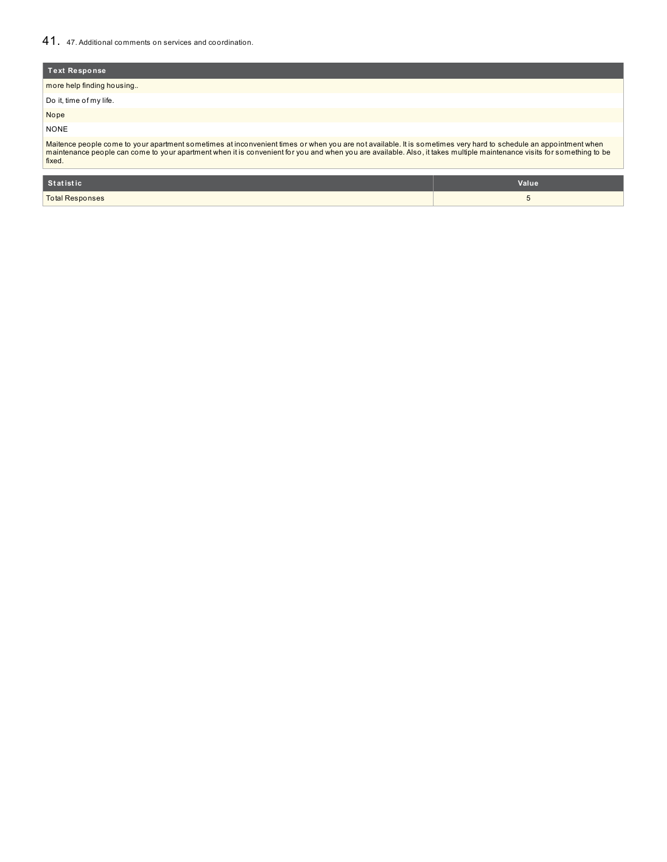# 41. 47. Additional comments on services and coordination.

| <b>Text Response</b>                                                                                                                                                                                                                                                                                                                                |
|-----------------------------------------------------------------------------------------------------------------------------------------------------------------------------------------------------------------------------------------------------------------------------------------------------------------------------------------------------|
| more help finding housing                                                                                                                                                                                                                                                                                                                           |
| Do it, time of my life.                                                                                                                                                                                                                                                                                                                             |
| Nope                                                                                                                                                                                                                                                                                                                                                |
| <b>NONE</b>                                                                                                                                                                                                                                                                                                                                         |
| Maitence people come to your apartment sometimes at inconvenient times or when you are not available. It is sometimes very hard to schedule an appointment when<br>maintenance people can come to your apartment when it is convenient for you and when you are available. Also, it takes multiple maintenance visits for something to be<br>fixed. |

| Statistic       | Value |
|-----------------|-------|
| Total Responses |       |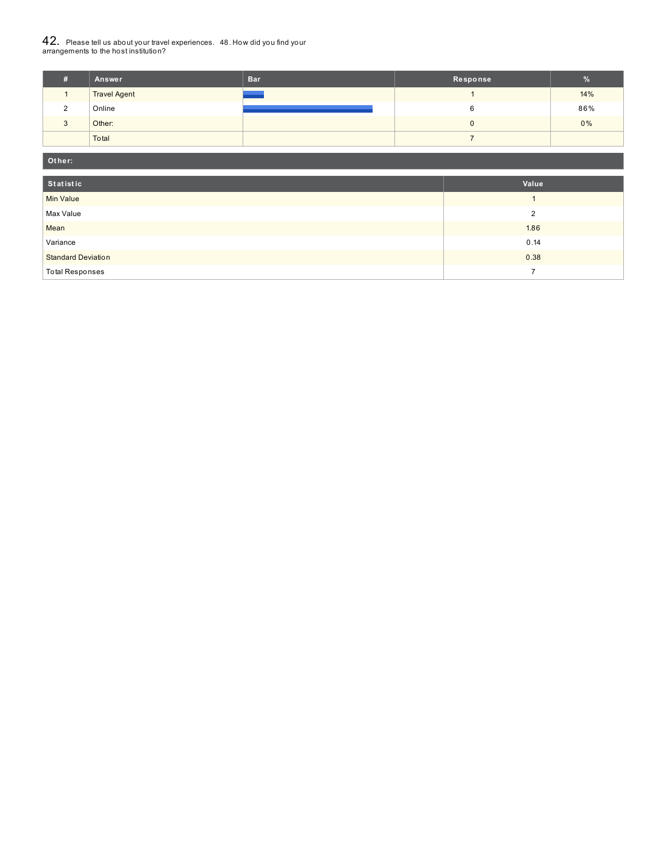# $42_\cdot\,$  Please tell us about your travel experiences.  $\,$  48. How did you find your  $\,$  arrangements to the host institution?

| ш | Answer              | <b>Bar</b> | Response | $\%$  |
|---|---------------------|------------|----------|-------|
|   | <b>Travel Agent</b> |            |          | 14%   |
| C | Online              |            |          | 86%   |
|   | Other:              |            |          | $0\%$ |
|   | Total               |            |          |       |

| Other:                    |                |  |  |  |
|---------------------------|----------------|--|--|--|
| Statistic                 | Value          |  |  |  |
| <b>Min Value</b>          |                |  |  |  |
| Max Value                 | $\overline{2}$ |  |  |  |
| Mean                      | 1.86           |  |  |  |
| Variance                  | 0.14           |  |  |  |
| <b>Standard Deviation</b> | 0.38           |  |  |  |
| <b>Total Responses</b>    |                |  |  |  |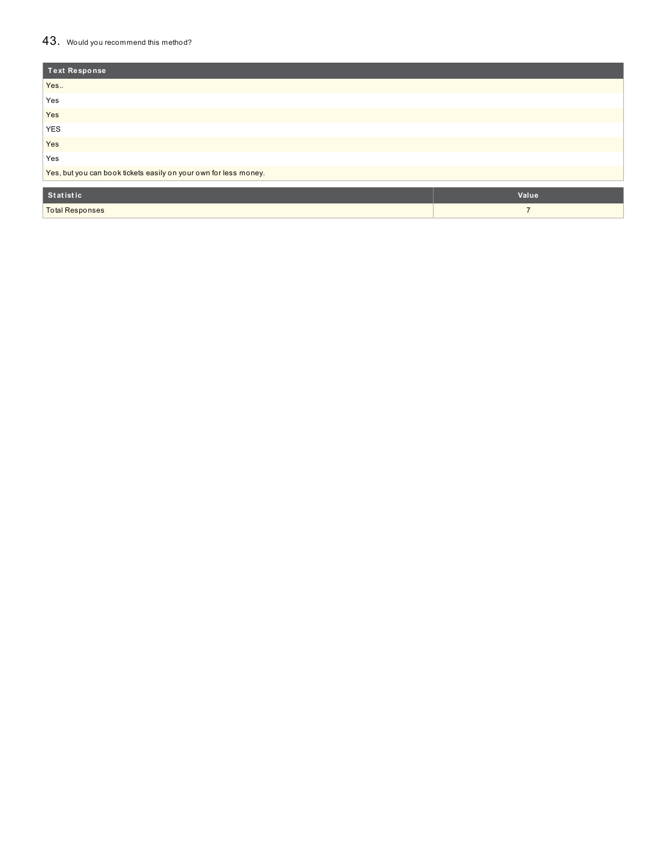# 43. Would you recommend this method?

| Text Response                                                    |                |  |
|------------------------------------------------------------------|----------------|--|
| Yes                                                              |                |  |
| Yes                                                              |                |  |
| Yes                                                              |                |  |
| <b>YES</b>                                                       |                |  |
| Yes                                                              |                |  |
| Yes                                                              |                |  |
| Yes, but you can book tickets easily on your own for less money. |                |  |
|                                                                  |                |  |
| Statistic                                                        | Value          |  |
| <b>Total Responses</b>                                           | $\overline{ }$ |  |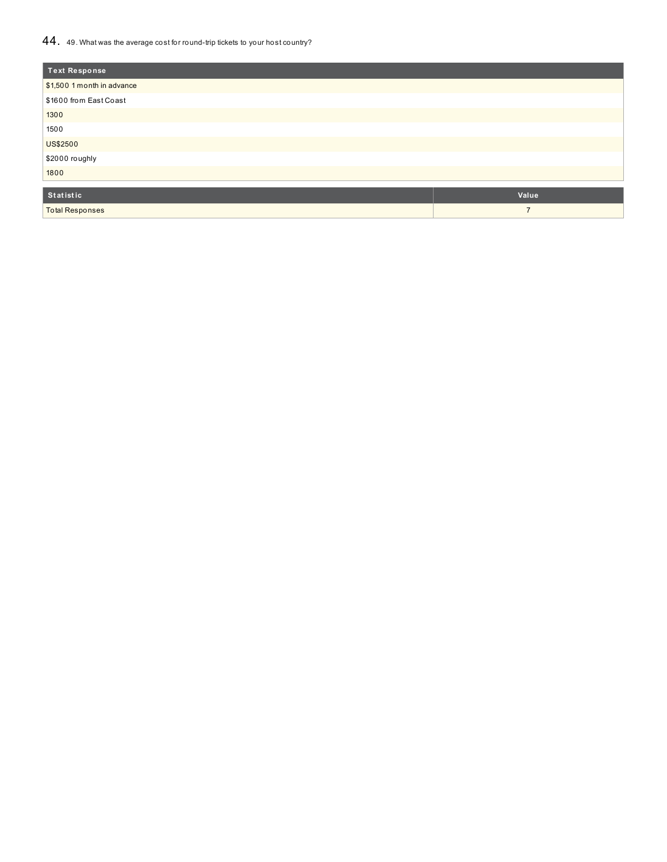## 44. 49. What was the average cost for round-trip tickets to your host country?

| <b>Text Response</b>       |                |
|----------------------------|----------------|
| \$1,500 1 month in advance |                |
| \$1600 from East Coast     |                |
| 1300                       |                |
| 1500                       |                |
| <b>US\$2500</b>            |                |
| \$2000 roughly             |                |
| 1800                       |                |
|                            |                |
| Statistic                  | Value          |
| <b>Total Responses</b>     | $\overline{7}$ |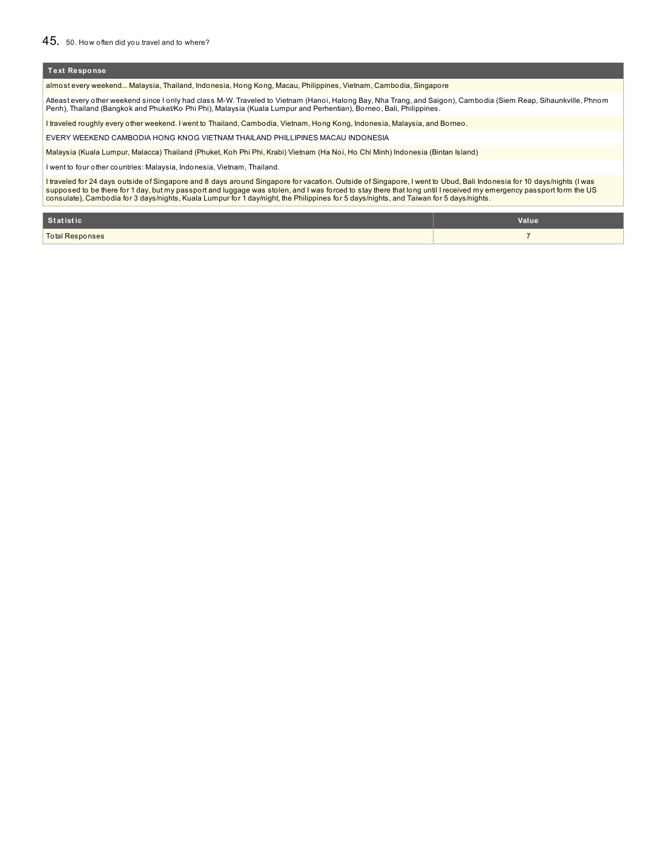almost every weekend... Malaysia, Thailand, Indonesia, Hong Kong, Macau, Philippines, Vietnam, Cambodia, Singapore

Atleast every other weekend since I only had class M-W. Traveled to Vietnam (Hanoi, Halong Bay, Nha Trang, and Saigon), Cambodia (Siem Reap, Sihaunkville, Phnom Penh), Thailand (Bangkok and Phuket/Ko Phi Phi), Malaysia (Kuala Lumpur and Perhentian), Borneo, Bali, Philippines.

I traveled roughly every other weekend. I went to Thailand, Cambodia, Vietnam, Hong Kong, Indonesia, Malaysia, and Borneo.

EVERY WEEKEND CAMBODIA HONG KNOG VIETNAM THAILAND PHILLIPINES MACAU INDONESIA

Malaysia (Kuala Lumpur, Malacca) Thailand (Phuket, Koh Phi Phi, Krabi) Vietnam (Ha Noi, Ho Chi Minh) Indonesia (Bintan Island)

I went to four other countries: Malaysia, Indonesia, Vietnam, Thailand.

I traveled for 24 days outside of Singapore and 8 days around Singapore for vacation. Outside of Singapore, I went to Ubud, Bali Indonesia for 10 days/nights (I was<br>supposed to be there for 1 day, but my passport and lugga

| Statistic       | Value |
|-----------------|-------|
| Total Responses |       |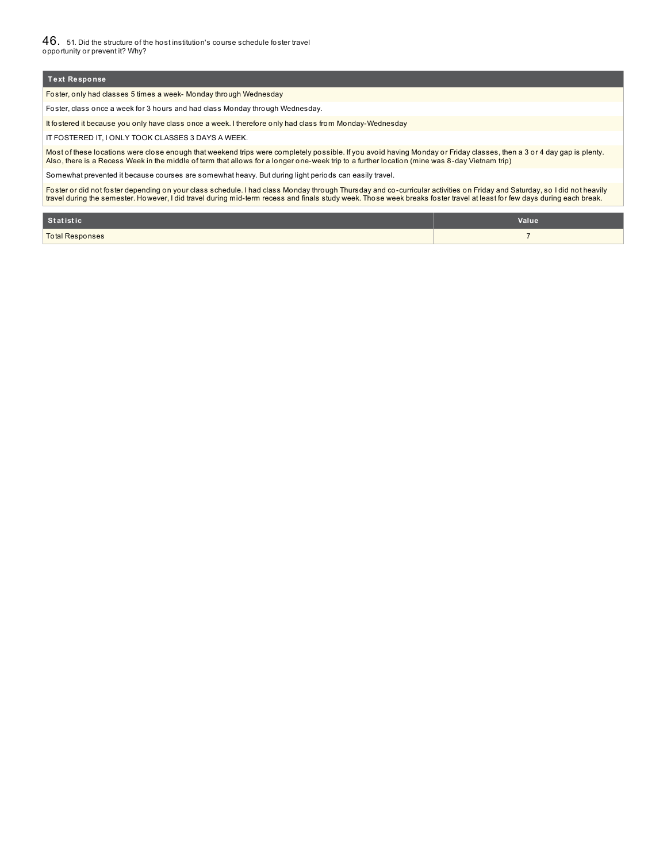46. 51. Did the structure of the host institution's course schedule foster travel opportunity or prevent it? Why?

### **Text Response**

Foster, only had classes 5 times a week- Monday through Wednesday

Foster, class once a week for 3 hours and had class Monday through Wednesday.

It fostered it because you only have class once a week. I therefore only had class from Monday-Wednesday

IT FOSTERED IT, I ONLY TOOK CLASSES 3 DAYS A WEEK.

Most of these locations were close enough that weekend trips were completely possible. If you avoid having Monday or Friday classes, then a 3 or 4 day gap is plenty. Also, there is a Recess Week in the middle of term that allows for a longer one-week trip to a further location (mine was 8-day Vietnam trip)

Somewhat prevented it because courses are somewhat heavy. But during light periods can easily travel.

Foster or did not foster depending on your class schedule. I had class Monday through Thursday and co-curricular activities on Friday and Saturday, so I did not heavily<br>travel during the semester. However, I did travel dur

| Statistic              | Value |
|------------------------|-------|
| <b>Total Responses</b> |       |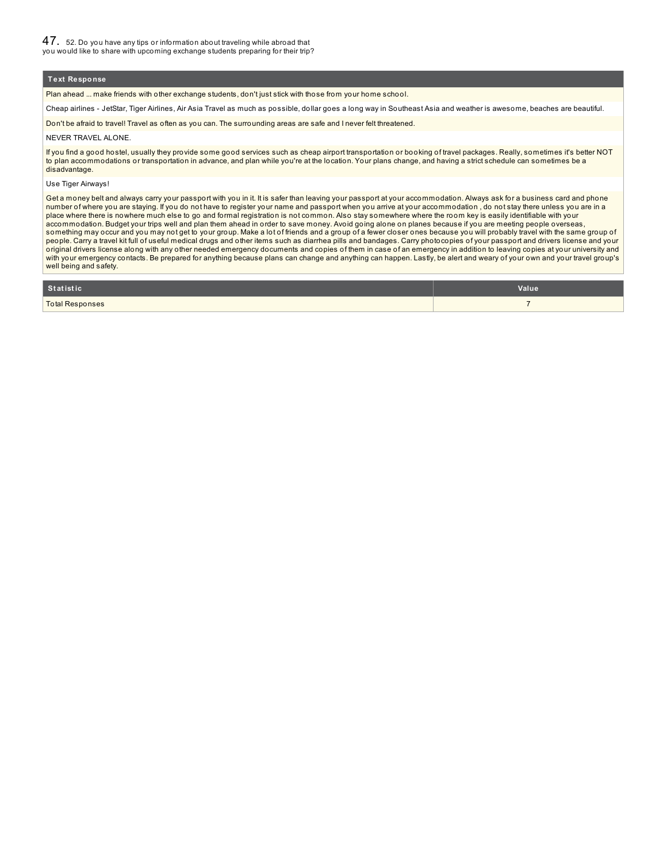Plan ahead ... make friends with other exchange students, don't just stick with those from your home school.

Cheap airlines - JetStar, Tiger Airlines, Air Asia Travel as much as possible, dollar goes a long way in Southeast Asia and weather is awesome, beaches are beautiful.

Don't be afraid to travel! Travel as often as you can. The surrounding areas are safe and I never felt threatened.

#### NEVER TRAVEL ALONE.

If you find a good hostel, usually they provide some good services such as cheap airport transportation or booking of travel packages. Really, sometimes it's better NOT to plan accommodations or transportation in advance, and plan while you're at the location. Your plans change, and having a strict schedule can sometimes be a disadvantage.

#### Use Tiger Airways!

Get a money belt and always carry your passport with you in it. It is safer than leaving your passport at your accommodation. Always ask for a business card and phone number of where you are staying. If you do not have to register your name and passport when you arrive at your accommodation , do not stay there unless you are in a place where there is nowhere much else to go and formal registration is not common. Also stay somewhere where the room key is easily identifiable with your accommodation. Budget your trips well and plan them ahead in order to save money. Avoid going alone on planes because if you are meeting people overseas, something may occur and you may not get to your group. Make a lot of friends and a group of a fewer closer ones because you will probably travel with the same group of people. Carry a travel kit full of useful medical drugs and other items such as diarrhea pills and bandages. Carry photocopies of your passport and drivers license and your original drivers license along with any other needed emergency documents and copies of them in case of an emergency in addition to leaving copies at your university and with your emergency contacts. Be prepared for anything because plans can change and anything can happen. Lastly, be alert and weary of your own and your travel group's well being and safety.

| Statistic                   | <b>Value</b> |
|-----------------------------|--------------|
| <b>Total Responses</b><br>. |              |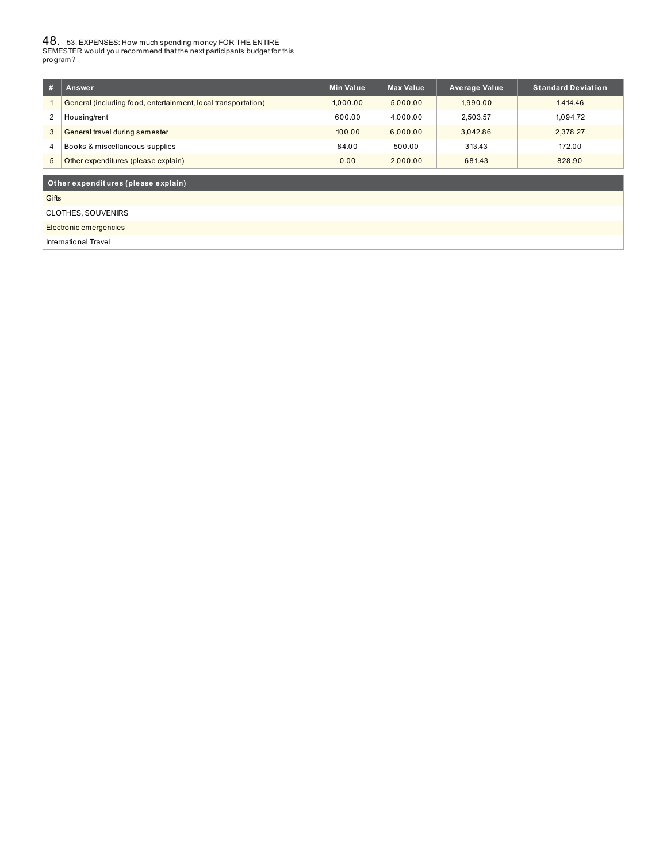48. 53. EXPENSES: How much spending money FOR THE ENTIRE SEMESTER would you recommend that the next participants budget for this program?

| # | Answer                                                        | <b>Min Value</b> | <b>Max Value</b> | <b>Average Value</b> | Standard Deviation <b>b</b> |
|---|---------------------------------------------------------------|------------------|------------------|----------------------|-----------------------------|
|   | General (including food, entertainment, local transportation) | 1.000.00         | 5.000.00         | 1.990.00             | 1.414.46                    |
| 2 | Housing/rent                                                  | 600.00           | 4.000.00         | 2.503.57             | 1.094.72                    |
| 3 | General travel during semester                                | 100.00           | 6.000.00         | 3.042.86             | 2.378.27                    |
| 4 | Books & miscellaneous supplies                                | 84.00            | 500.00           | 313.43               | 172.00                      |
| 5 | Other expenditures (please explain)                           | 0.00             | 2.000.00         | 681.43               | 828.90                      |
|   |                                                               |                  |                  |                      |                             |
|   | Other expenditures (please explain)                           |                  |                  |                      |                             |

**Gifts** 

CLOTHES, SOUVENIRS

Electronic emergencies

International Travel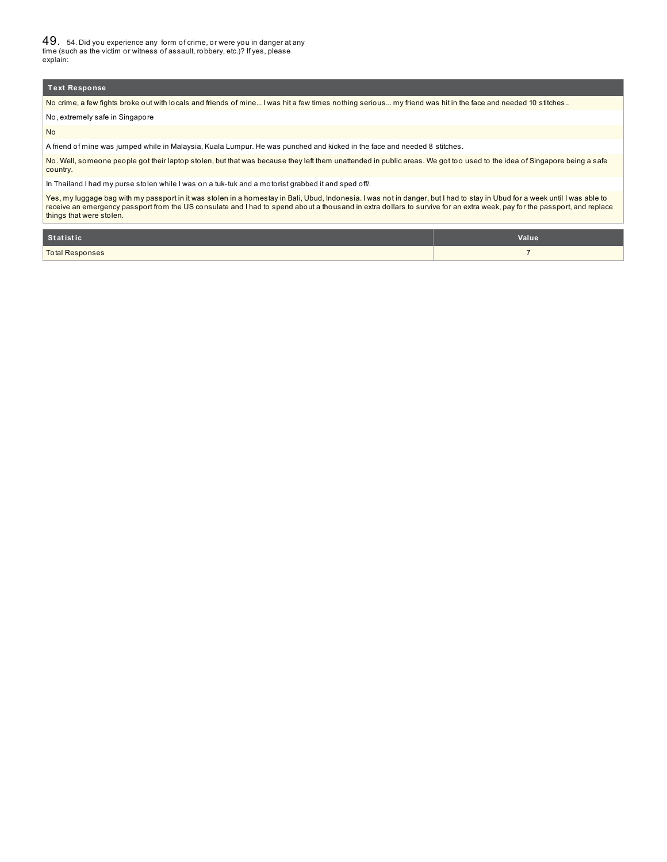49. 54. Did you experience any form of crime, or were you in danger at any time (such as the victim or witness of assault, robbery, etc.)? If yes, please explain:

#### **Text Response**

No crime, a few fights broke out with locals and friends of mine... I was hit a few times nothing serious... my friend was hit in the face and needed 10 stitches..

No, extremely safe in Singapore

No

A friend of mine was jumped while in Malaysia, Kuala Lumpur. He was punched and kicked in the face and needed 8 stitches.

No. Well, someone people got their laptop stolen, but that was because they left them unattended in public areas. We got too used to the idea of Singapore being a safe country.

In Thailand I had my purse stolen while I was on a tuk-tuk and a motorist grabbed it and sped off/.

Yes, my luggage bag with my passport in it was stolen in a homestay in Bali, Ubud, Indonesia. I was not in danger, but I had to stay in Ubud for a week until I was able to receive an emergency passport from the US consulate and I had to spend about a thousand in extra dollars to survive for an extra week, pay for the passport, and replace<br>things that were stolen.

| Statistic              | Value |
|------------------------|-------|
| <b>Total Responses</b> |       |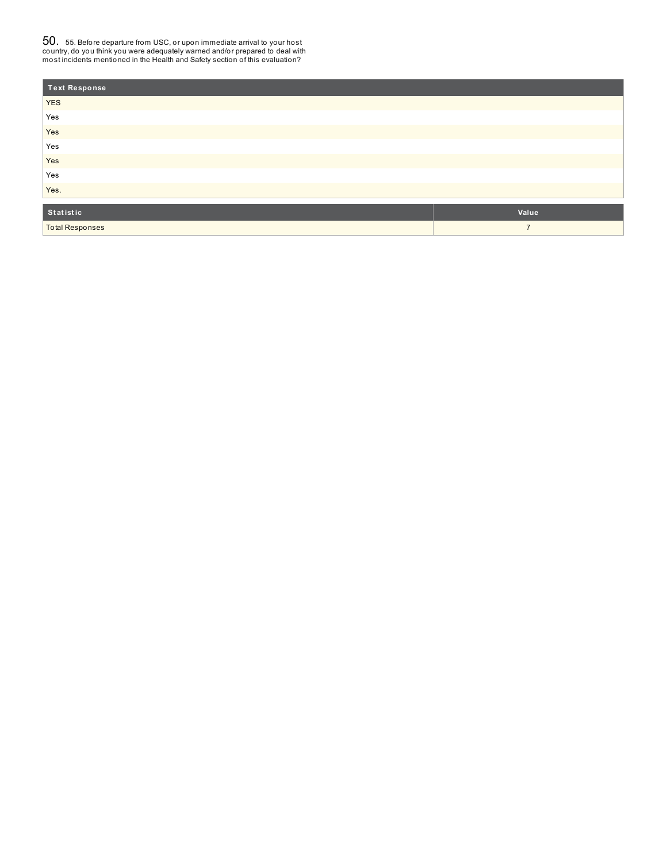$50_\cdot$  55. Before departure from USC, or upon immediate arrival to your host<br>country, do you think you were adequately warned and/or prepared to deal with<br>most incidents mentioned in the Health and Safety section of this e

| <b>Text Response</b>   |                |
|------------------------|----------------|
| <b>YES</b>             |                |
| Yes                    |                |
| Yes                    |                |
| Yes                    |                |
| Yes                    |                |
| Yes                    |                |
| Yes.                   |                |
|                        |                |
| Statistic              | Value          |
| <b>Total Responses</b> | $\overline{ }$ |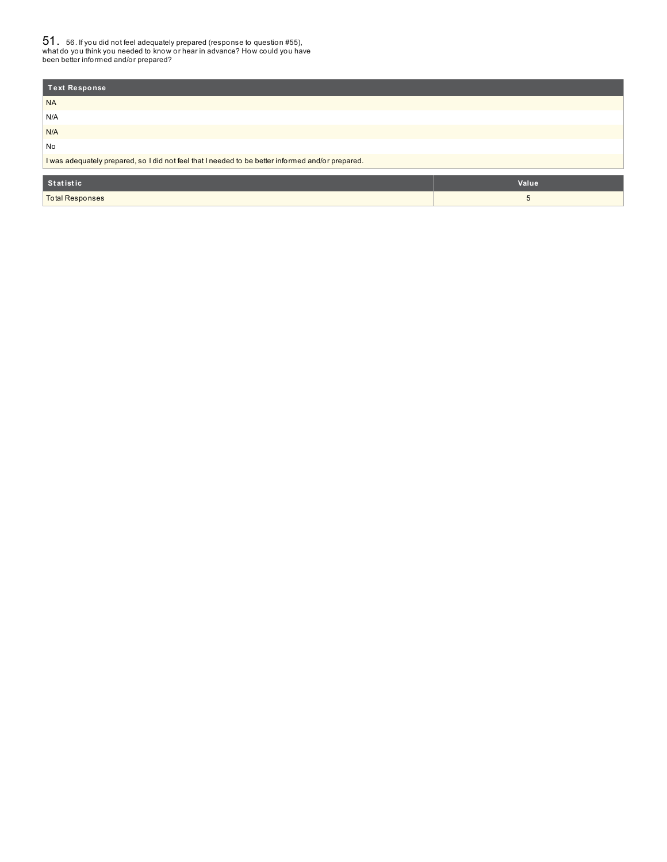51. 56. If you did not feel adequately prepared (response to question #55), what do you think you needed to know or hear in advance? How could you have been better informed and/or prepared?

| Text Response                                                                                     |       |
|---------------------------------------------------------------------------------------------------|-------|
| <b>NA</b>                                                                                         |       |
| N/A                                                                                               |       |
| N/A                                                                                               |       |
| No                                                                                                |       |
| I was adequately prepared, so I did not feel that I needed to be better informed and/or prepared. |       |
|                                                                                                   |       |
| Statistic                                                                                         | Value |

| <b>Total Responses</b> |  |
|------------------------|--|
|                        |  |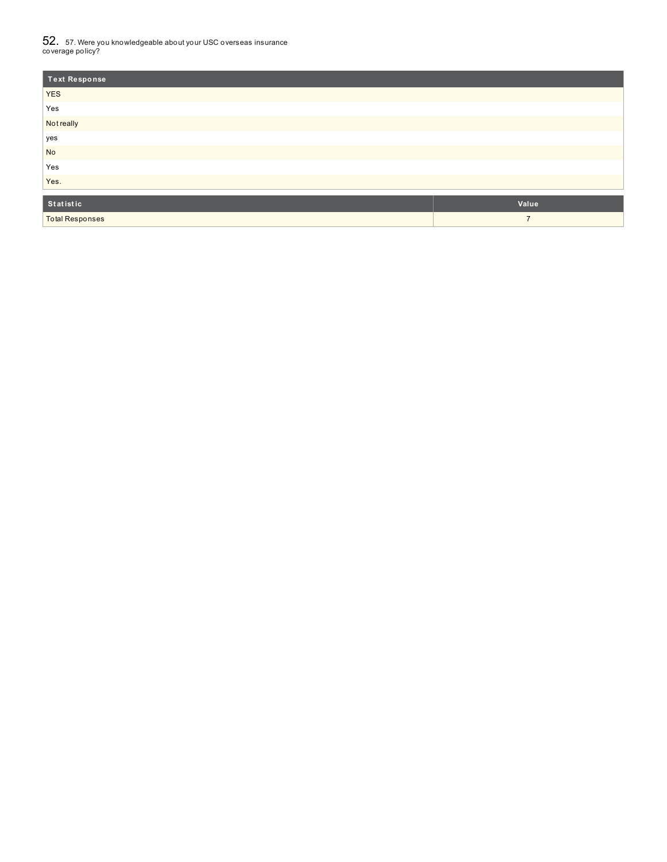$52_\cdot$  57. Were you knowledgeable about your USC overseas insurance<br>coverage policy?

| <b>Text Response</b>   |                |
|------------------------|----------------|
| <b>YES</b>             |                |
| Yes                    |                |
| <b>Not really</b>      |                |
| yes                    |                |
| <b>No</b>              |                |
| Yes                    |                |
| Yes.                   |                |
| Statistic              | Value          |
|                        |                |
| <b>Total Responses</b> | $\overline{7}$ |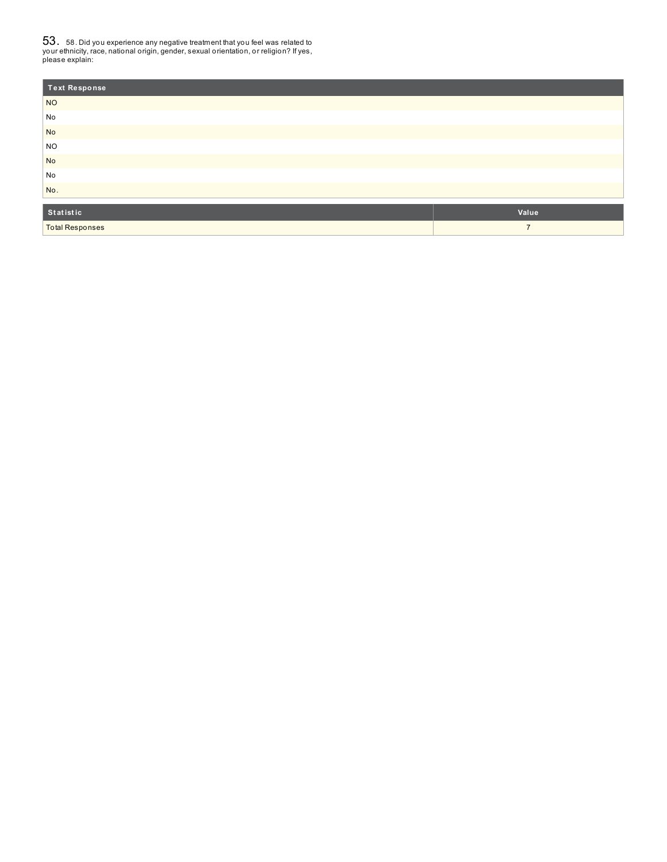**53.** 58. Did you experience any negative treatment that you feel was related to<br>your ethnicity, race, national origin, gender, sexual orientation, or religion? If yes,<br>please explain:

| <b>Text Response</b>   |                |
|------------------------|----------------|
| <b>NO</b>              |                |
| No                     |                |
| <b>No</b>              |                |
| <b>NO</b>              |                |
| <b>No</b>              |                |
| No                     |                |
| No.                    |                |
| Statistic              | Value          |
|                        |                |
| <b>Total Responses</b> | $\overline{7}$ |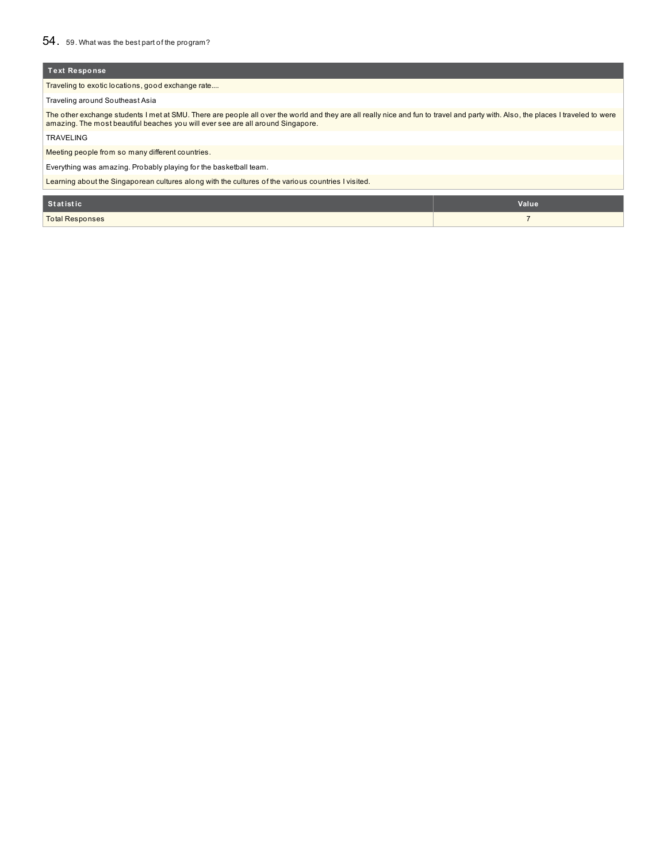Traveling to exotic locations, good exchange rate....

Traveling around Southeast Asia

The other exchange students I met at SMU. There are people all over the world and they are all really nice and fun to travel and party with. Also, the places I traveled to were<br>amazing. The most beautiful beaches you will

TRAVELING

Meeting people from so many different countries.

Everything was amazing. Probably playing for the basketball team.

Learning about the Singaporean cultures along with the cultures of the various countries I visited.

| Statistic              | Value |
|------------------------|-------|
| <b>Total Responses</b> |       |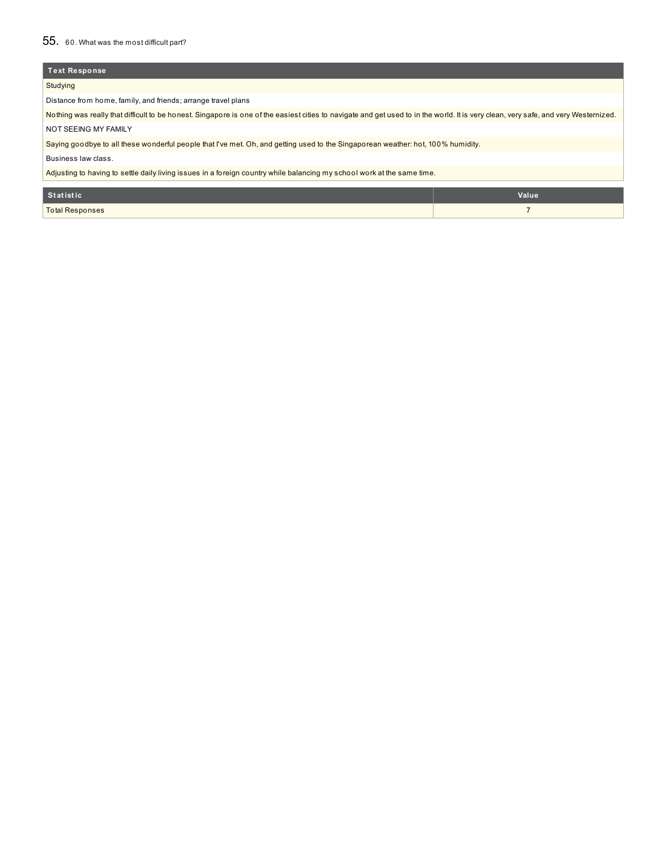### 55. 60. What was the most difficult part?

### **Text Response**

### Studying

Distance from home, family, and friends; arrange travel plans

Nothing was really that difficult to be honest. Singapore is one of the easiest cities to navigate and get used to in the world. It is very clean, very safe, and very Westernized.

NOT SEEING MY FAMILY

Saying goodbye to all these wonderful people that I've met. Oh, and getting used to the Singaporean weather: hot, 100% humidity.

Business law class.

Adjusting to having to settle daily living issues in a foreign country while balancing my school work at the same time.

| Statistic       | Value |
|-----------------|-------|
| Total Responses |       |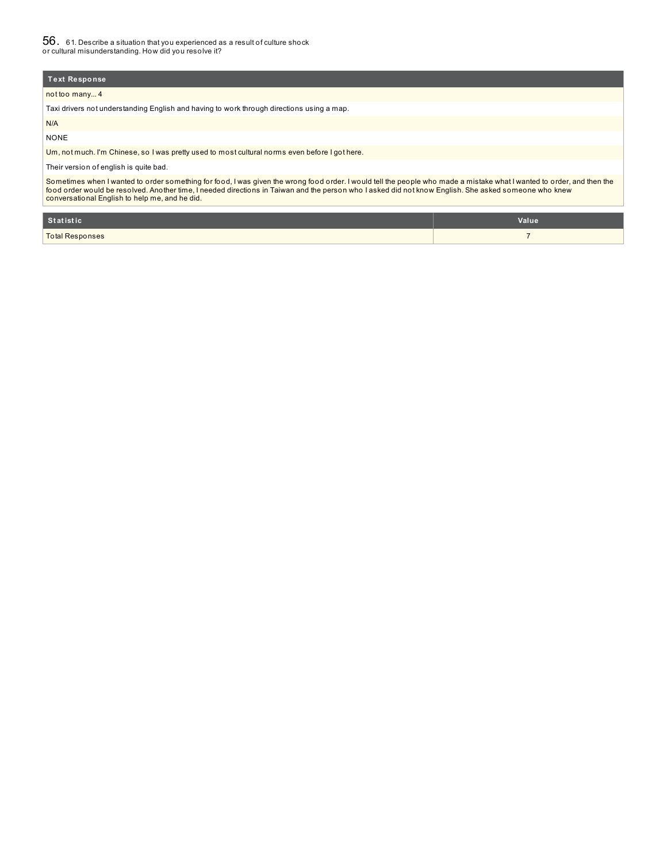not too many... 4

Taxi drivers not understanding English and having to work through directions using a map.

N/A NONE

Um, not much. I'm Chinese, so I was pretty used to most cultural norms even before I got here.

### Their version of english is quite bad.

Sometimes when I wanted to order something for food, I was given the wrong food order. I would tell the people who made a mistake what I wanted to order, and then the<br>food order would be resolved. Another time, I needed di

| Statistic              | Value |
|------------------------|-------|
| <b>Total Responses</b> |       |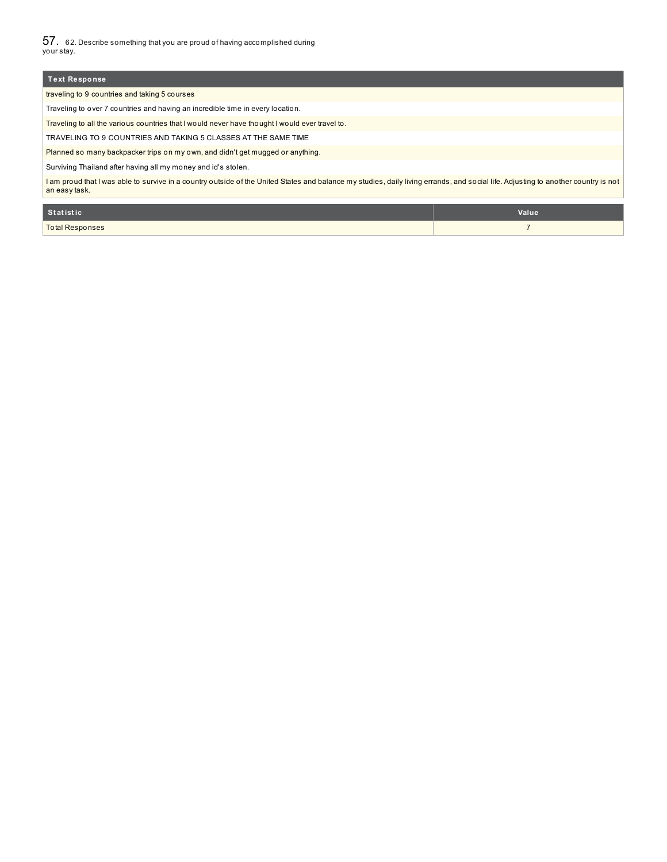57. 62. Describe something that you are proud of having accomplished during your stay.

| <b>Text Response</b>                                                                                                                                                                                |
|-----------------------------------------------------------------------------------------------------------------------------------------------------------------------------------------------------|
| traveling to 9 countries and taking 5 courses                                                                                                                                                       |
| Traveling to over 7 countries and having an incredible time in every location.                                                                                                                      |
| Traveling to all the various countries that I would never have thought I would ever travel to.                                                                                                      |
| TRAVELING TO 9 COUNTRIES AND TAKING 5 CLASSES AT THE SAME TIME                                                                                                                                      |
| Planned so many backpacker trips on my own, and didn't get mugged or anything.                                                                                                                      |
| Surviving Thailand after having all my money and id's stolen.                                                                                                                                       |
| I am proud that I was able to survive in a country outside of the United States and balance my studies, daily living errands, and social life. Adjusting to another country is not<br>an easy task. |
|                                                                                                                                                                                                     |

| Statistic              | Value |
|------------------------|-------|
| <b>Total Responses</b> |       |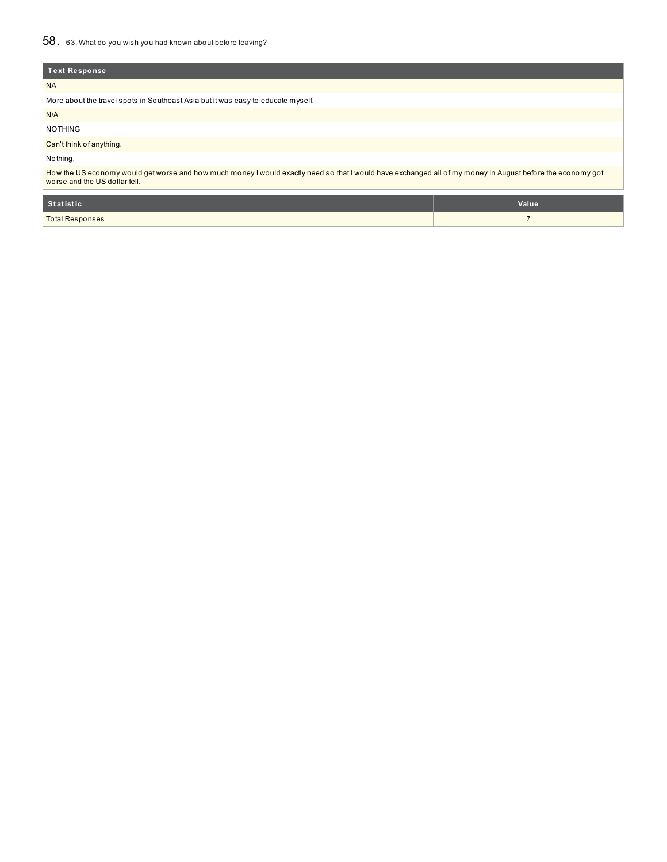| Text Response                                                                                                                                                                               |
|---------------------------------------------------------------------------------------------------------------------------------------------------------------------------------------------|
| <b>NA</b>                                                                                                                                                                                   |
| More about the travel spots in Southeast Asia but it was easy to educate myself.                                                                                                            |
| N/A                                                                                                                                                                                         |
| <b>NOTHING</b>                                                                                                                                                                              |
| Can't think of anything.                                                                                                                                                                    |
| Nothing.                                                                                                                                                                                    |
| How the US economy would get worse and how much money I would exactly need so that I would have exchanged all of my money in August before the economy got<br>worse and the US dollar fell. |

| Statistic              | Value |
|------------------------|-------|
| <b>Total Responses</b> |       |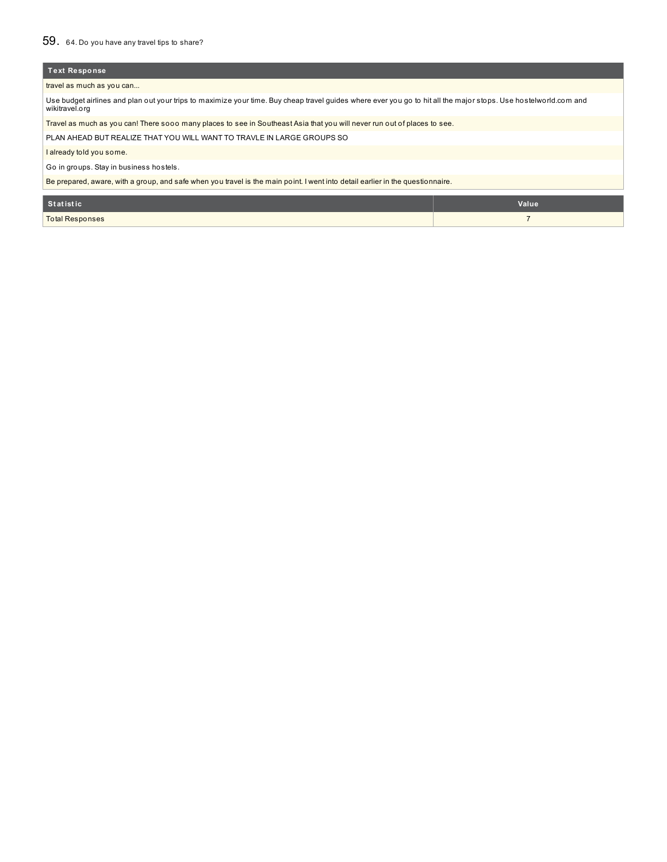# 59. 64. Do you have any travel tips to share?

| Text Response                                                                                                                                                                      |                |  |
|------------------------------------------------------------------------------------------------------------------------------------------------------------------------------------|----------------|--|
| travel as much as you can                                                                                                                                                          |                |  |
| Use budget airlines and plan out your trips to maximize your time. Buy cheap travel quides where ever you go to hit all the major stops. Use hostelworld.com and<br>wikitravel.org |                |  |
| Travel as much as you can! There sooo many places to see in Southeast Asia that you will never run out of places to see.                                                           |                |  |
| PLAN AHEAD BUT REALIZE THAT YOU WILL WANT TO TRAVLE IN LARGE GROUPS SO                                                                                                             |                |  |
| I already told you some.                                                                                                                                                           |                |  |
| Go in groups. Stay in business hostels.                                                                                                                                            |                |  |
| Be prepared, aware, with a group, and safe when you travel is the main point. I went into detail earlier in the questionnaire.                                                     |                |  |
|                                                                                                                                                                                    |                |  |
| <b>Statistic</b>                                                                                                                                                                   | Value          |  |
| <b>Total Responses</b>                                                                                                                                                             | $\overline{7}$ |  |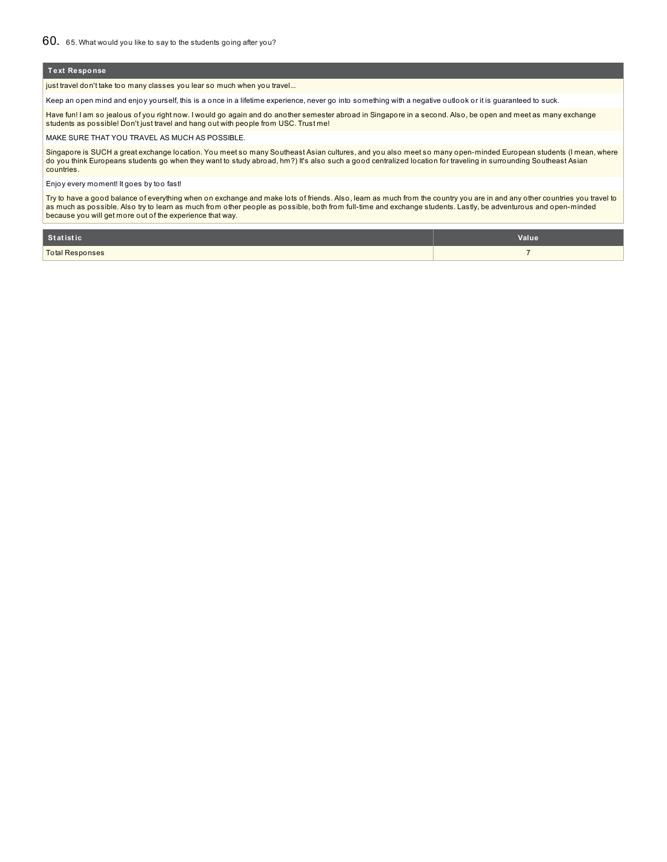just travel don't take too many classes you lear so much when you travel...

Keep an open mind and enjoy yourself, this is a once in a lifetime experience, never go into something with a negative outlook or it is guaranteed to suck.

Have fun! I am so jealous of you right now. I would go again and do another semester abroad in Singapore in a second. Also, be open and meet as many exchange students as possible! Don't just travel and hang out with people from USC. Trust me!

MAKE SURE THAT YOU TRAVEL AS MUCH AS POSSIBLE.

Singapore is SUCH a great exchange location. You meet so many Southeast Asian cultures, and you also meet so many open-minded European students (I mean, where do you think Europeans students go when they want to study abroad, hm?) It's also such a good centralized location for traveling in surrounding Southeast Asian countries.

Enjoy every moment! It goes by too fast!

Try to have a good balance of everything when on exchange and make lots of friends. Also, learn as much from the country you are in and any other countries you travel to as much as possible. Also try to learn as much from other people as possible, both from full-time and exchange students. Lastly, be adventurous and open-minded because you will get more out of the experience that way.

| Statistic              | Value |
|------------------------|-------|
| <b>Total Responses</b> |       |